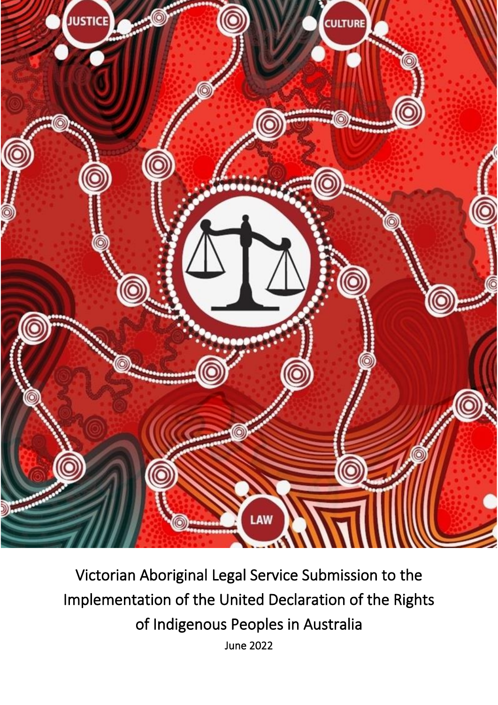

Victorian Aboriginal Legal Service Submission to the Implementation of the United Declaration of the Rights of Indigenous Peoples in Australia June 2022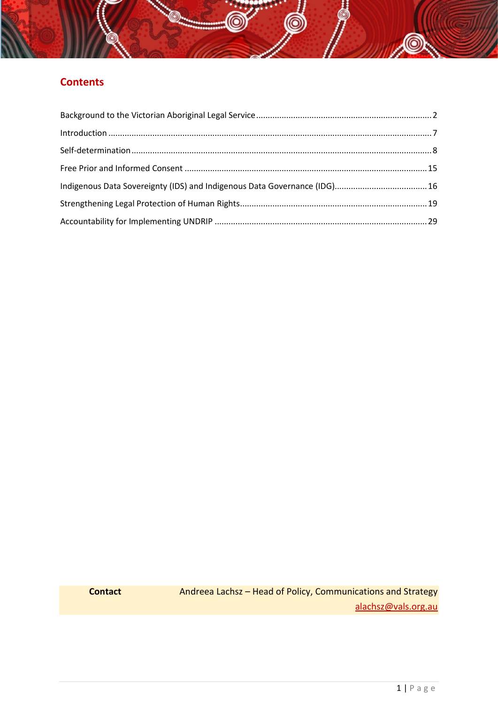# **Contents**

Ö

**DE** 

<span id="page-1-0"></span>**Contact Andreea Lachsz – Head of Policy, Communications and Strategy** [alachsz@vals.org.au](mailto:alachsz@vals.org.au)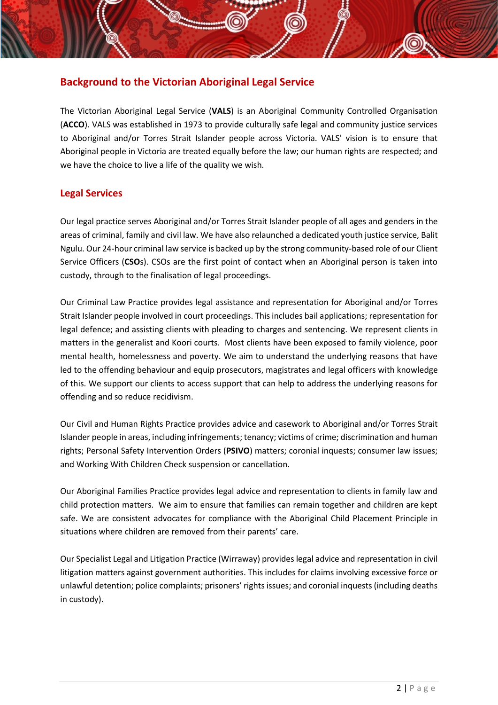# **Background to the Victorian Aboriginal Legal Service**

The Victorian Aboriginal Legal Service (**VALS**) is an Aboriginal Community Controlled Organisation (**ACCO**). VALS was established in 1973 to provide culturally safe legal and community justice services to Aboriginal and/or Torres Strait Islander people across Victoria. VALS' vision is to ensure that Aboriginal people in Victoria are treated equally before the law; our human rights are respected; and we have the choice to live a life of the quality we wish.

# **Legal Services**

Our legal practice serves Aboriginal and/or Torres Strait Islander people of all ages and genders in the areas of criminal, family and civil law. We have also relaunched a dedicated youth justice service, Balit Ngulu. Our 24-hour criminal law service is backed up by the strong community-based role of our Client Service Officers (**CSO**s). CSOs are the first point of contact when an Aboriginal person is taken into custody, through to the finalisation of legal proceedings.

Our Criminal Law Practice provides legal assistance and representation for Aboriginal and/or Torres Strait Islander people involved in court proceedings. This includes bail applications; representation for legal defence; and assisting clients with pleading to charges and sentencing. We represent clients in matters in the generalist and Koori courts. Most clients have been exposed to family violence, poor mental health, homelessness and poverty. We aim to understand the underlying reasons that have led to the offending behaviour and equip prosecutors, magistrates and legal officers with knowledge of this. We support our clients to access support that can help to address the underlying reasons for offending and so reduce recidivism.

Our Civil and Human Rights Practice provides advice and casework to Aboriginal and/or Torres Strait Islander people in areas, including infringements; tenancy; victims of crime; discrimination and human rights; Personal Safety Intervention Orders (**PSIVO**) matters; coronial inquests; consumer law issues; and Working With Children Check suspension or cancellation.

Our Aboriginal Families Practice provides legal advice and representation to clients in family law and child protection matters. We aim to ensure that families can remain together and children are kept safe. We are consistent advocates for compliance with the Aboriginal Child Placement Principle in situations where children are removed from their parents' care.

Our Specialist Legal and Litigation Practice (Wirraway) provides legal advice and representation in civil litigation matters against government authorities. This includes for claims involving excessive force or unlawful detention; police complaints; prisoners' rights issues; and coronial inquests (including deaths in custody).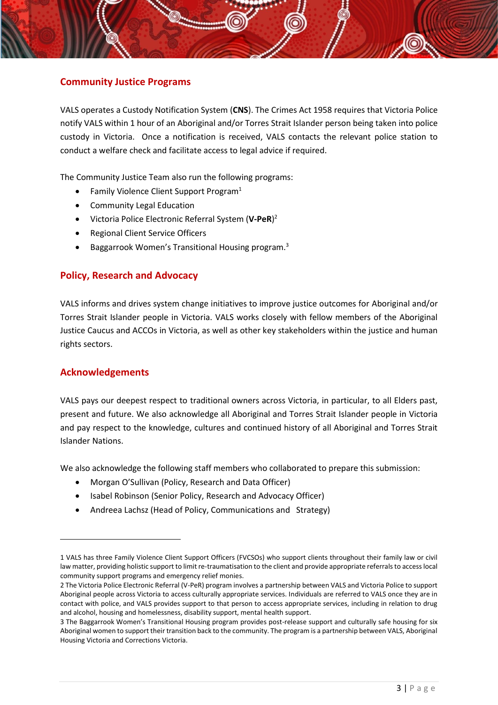# **Community Justice Programs**

VALS operates a Custody Notification System (**CNS**). The Crimes Act 1958 requires that Victoria Police notify VALS within 1 hour of an Aboriginal and/or Torres Strait Islander person being taken into police custody in Victoria. Once a notification is received, VALS contacts the relevant police station to conduct a welfare check and facilitate access to legal advice if required.

The Community Justice Team also run the following programs:

- Family Violence Client Support Program<sup>1</sup>
- Community Legal Education
- Victoria Police Electronic Referral System (**V-PeR**) 2
- Regional Client Service Officers
- Baggarrook Women's Transitional Housing program.<sup>3</sup>

# **Policy, Research and Advocacy**

VALS informs and drives system change initiatives to improve justice outcomes for Aboriginal and/or Torres Strait Islander people in Victoria. VALS works closely with fellow members of the Aboriginal Justice Caucus and ACCOs in Victoria, as well as other key stakeholders within the justice and human rights sectors.

# **Acknowledgements**

VALS pays our deepest respect to traditional owners across Victoria, in particular, to all Elders past, present and future. We also acknowledge all Aboriginal and Torres Strait Islander people in Victoria and pay respect to the knowledge, cultures and continued history of all Aboriginal and Torres Strait Islander Nations.

We also acknowledge the following staff members who collaborated to prepare this submission:

- Morgan O'Sullivan (Policy, Research and Data Officer)
- Isabel Robinson (Senior Policy, Research and Advocacy Officer)
- Andreea Lachsz (Head of Policy, Communications and Strategy)

<sup>1</sup> VALS has three Family Violence Client Support Officers (FVCSOs) who support clients throughout their family law or civil law matter, providing holistic support to limit re-traumatisation to the client and provide appropriate referrals to access local community support programs and emergency relief monies.

<sup>2</sup> The Victoria Police Electronic Referral (V-PeR) program involves a partnership between VALS and Victoria Police to support Aboriginal people across Victoria to access culturally appropriate services. Individuals are referred to VALS once they are in contact with police, and VALS provides support to that person to access appropriate services, including in relation to drug and alcohol, housing and homelessness, disability support, mental health support.

<sup>3</sup> The Baggarrook Women's Transitional Housing program provides post-release support and culturally safe housing for six Aboriginal women to support their transition back to the community. The program is a partnership between VALS, Aboriginal Housing Victoria and Corrections Victoria.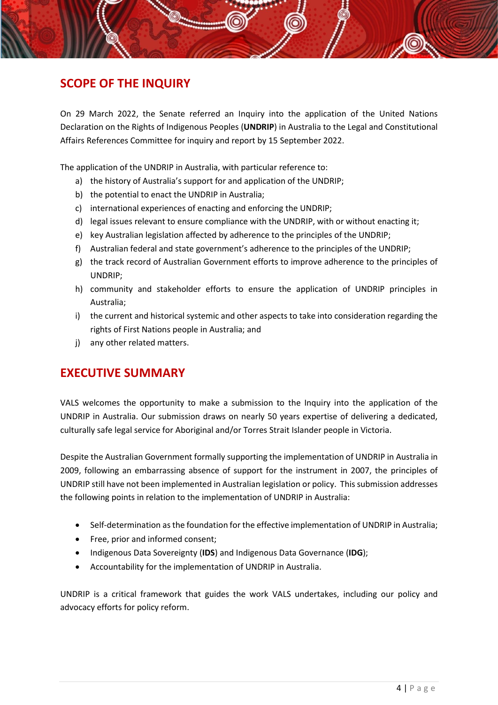# **SCOPE OF THE INQUIRY**

On 29 March 2022, the Senate referred an Inquiry into the application of the United Nations Declaration on the Rights of Indigenous Peoples (**UNDRIP**) in Australia to the Legal and Constitutional Affairs References Committee for inquiry and report by 15 September 2022.

The application of the UNDRIP in Australia, with particular reference to:

- a) the history of Australia's support for and application of the UNDRIP;
- b) the potential to enact the UNDRIP in Australia;
- c) international experiences of enacting and enforcing the UNDRIP;
- d) legal issues relevant to ensure compliance with the UNDRIP, with or without enacting it;
- e) key Australian legislation affected by adherence to the principles of the UNDRIP;
- f) Australian federal and state government's adherence to the principles of the UNDRIP;
- g) the track record of Australian Government efforts to improve adherence to the principles of UNDRIP;
- h) community and stakeholder efforts to ensure the application of UNDRIP principles in Australia;
- i) the current and historical systemic and other aspects to take into consideration regarding the rights of First Nations people in Australia; and
- j) any other related matters.

# **EXECUTIVE SUMMARY**

VALS welcomes the opportunity to make a submission to the Inquiry into the application of the UNDRIP in Australia. Our submission draws on nearly 50 years expertise of delivering a dedicated, culturally safe legal service for Aboriginal and/or Torres Strait Islander people in Victoria.

Despite the Australian Government formally supporting the implementation of UNDRIP in Australia in 2009, following an embarrassing absence of support for the instrument in 2007, the principles of UNDRIP still have not been implemented in Australian legislation or policy. This submission addresses the following points in relation to the implementation of UNDRIP in Australia:

- Self-determination as the foundation for the effective implementation of UNDRIP in Australia;
- Free, prior and informed consent:
- Indigenous Data Sovereignty (**IDS**) and Indigenous Data Governance (**IDG**);
- Accountability for the implementation of UNDRIP in Australia.

UNDRIP is a critical framework that guides the work VALS undertakes, including our policy and advocacy efforts for policy reform.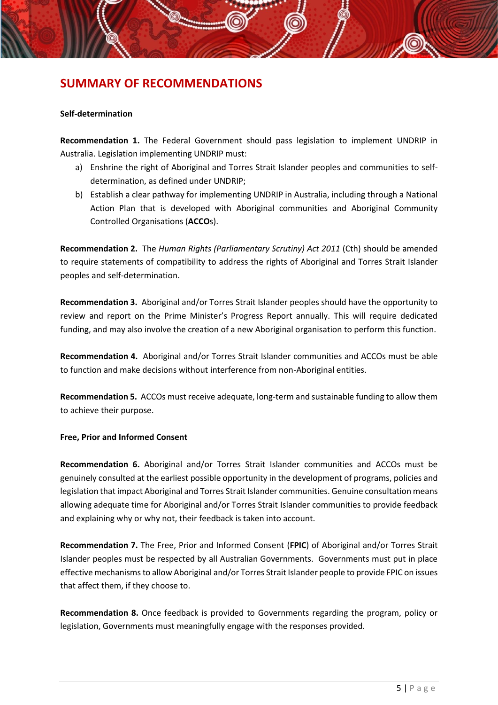# **SUMMARY OF RECOMMENDATIONS**

#### **Self-determination**

**Recommendation 1.** The Federal Government should pass legislation to implement UNDRIP in Australia. Legislation implementing UNDRIP must:

- a) Enshrine the right of Aboriginal and Torres Strait Islander peoples and communities to selfdetermination, as defined under UNDRIP;
- b) Establish a clear pathway for implementing UNDRIP in Australia, including through a National Action Plan that is developed with Aboriginal communities and Aboriginal Community Controlled Organisations (**ACCO**s).

**Recommendation 2.** The *Human Rights (Parliamentary Scrutiny) Act 2011* (Cth) should be amended to require statements of compatibility to address the rights of Aboriginal and Torres Strait Islander peoples and self-determination.

**Recommendation 3.** Aboriginal and/or Torres Strait Islander peoples should have the opportunity to review and report on the Prime Minister's Progress Report annually. This will require dedicated funding, and may also involve the creation of a new Aboriginal organisation to perform this function.

**Recommendation 4.** Aboriginal and/or Torres Strait Islander communities and ACCOs must be able to function and make decisions without interference from non-Aboriginal entities.

**Recommendation 5.** ACCOs must receive adequate, long-term and sustainable funding to allow them to achieve their purpose.

### **Free, Prior and Informed Consent**

**Recommendation 6.** Aboriginal and/or Torres Strait Islander communities and ACCOs must be genuinely consulted at the earliest possible opportunity in the development of programs, policies and legislation that impact Aboriginal and Torres Strait Islander communities. Genuine consultation means allowing adequate time for Aboriginal and/or Torres Strait Islander communities to provide feedback and explaining why or why not, their feedback is taken into account.

**Recommendation 7.** The Free, Prior and Informed Consent (**FPIC**) of Aboriginal and/or Torres Strait Islander peoples must be respected by all Australian Governments. Governments must put in place effective mechanisms to allow Aboriginal and/or Torres Strait Islander people to provide FPIC on issues that affect them, if they choose to.

**Recommendation 8.** Once feedback is provided to Governments regarding the program, policy or legislation, Governments must meaningfully engage with the responses provided.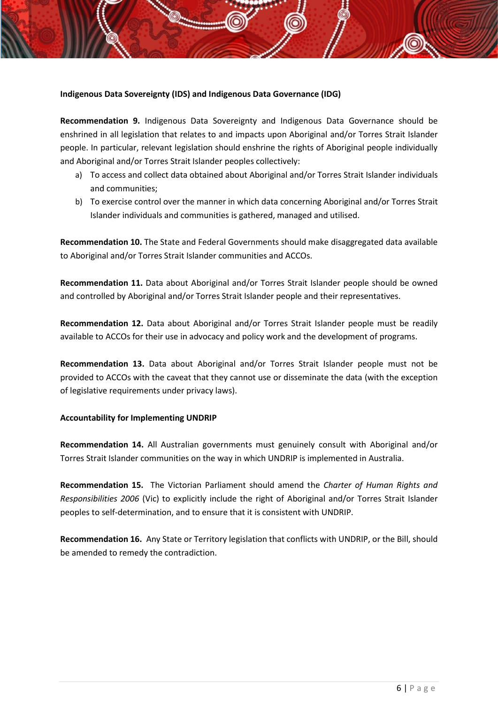## **Indigenous Data Sovereignty (IDS) and Indigenous Data Governance (IDG)**

**Recommendation 9.** Indigenous Data Sovereignty and Indigenous Data Governance should be enshrined in all legislation that relates to and impacts upon Aboriginal and/or Torres Strait Islander people. In particular, relevant legislation should enshrine the rights of Aboriginal people individually and Aboriginal and/or Torres Strait Islander peoples collectively:

- a) To access and collect data obtained about Aboriginal and/or Torres Strait Islander individuals and communities;
- b) To exercise control over the manner in which data concerning Aboriginal and/or Torres Strait Islander individuals and communities is gathered, managed and utilised.

**Recommendation 10.** The State and Federal Governments should make disaggregated data available to Aboriginal and/or Torres Strait Islander communities and ACCOs.

**Recommendation 11.** Data about Aboriginal and/or Torres Strait Islander people should be owned and controlled by Aboriginal and/or Torres Strait Islander people and their representatives.

**Recommendation 12.** Data about Aboriginal and/or Torres Strait Islander people must be readily available to ACCOs for their use in advocacy and policy work and the development of programs.

**Recommendation 13.** Data about Aboriginal and/or Torres Strait Islander people must not be provided to ACCOs with the caveat that they cannot use or disseminate the data (with the exception of legislative requirements under privacy laws).

### **Accountability for Implementing UNDRIP**

**Recommendation 14.** All Australian governments must genuinely consult with Aboriginal and/or Torres Strait Islander communities on the way in which UNDRIP is implemented in Australia.

**Recommendation 15.** The Victorian Parliament should amend the *Charter of Human Rights and Responsibilities 2006* (Vic) to explicitly include the right of Aboriginal and/or Torres Strait Islander peoples to self-determination, and to ensure that it is consistent with UNDRIP.

**Recommendation 16.** Any State or Territory legislation that conflicts with UNDRIP, or the Bill, should be amended to remedy the contradiction.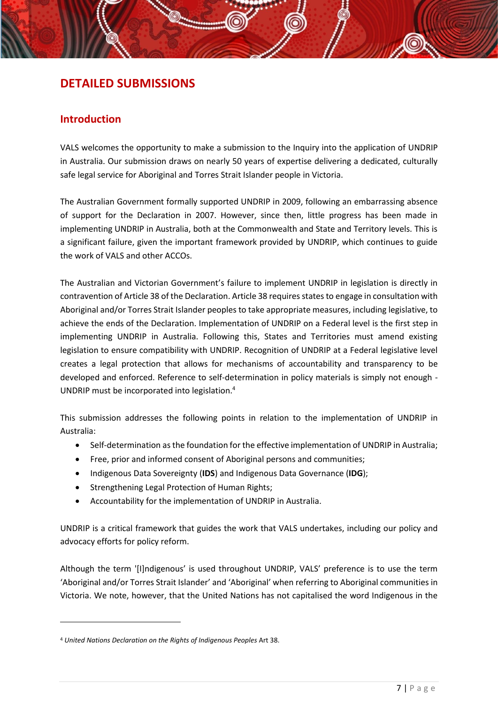# **DETAILED SUBMISSIONS**

# <span id="page-7-0"></span>**Introduction**

VALS welcomes the opportunity to make a submission to the Inquiry into the application of UNDRIP in Australia. Our submission draws on nearly 50 years of expertise delivering a dedicated, culturally safe legal service for Aboriginal and Torres Strait Islander people in Victoria.

The Australian Government formally supported UNDRIP in 2009, following an embarrassing absence of support for the Declaration in 2007. However, since then, little progress has been made in implementing UNDRIP in Australia, both at the Commonwealth and State and Territory levels. This is a significant failure, given the important framework provided by UNDRIP, which continues to guide the work of VALS and other ACCOs.

The Australian and Victorian Government's failure to implement UNDRIP in legislation is directly in contravention of Article 38 of the Declaration. Article 38 requires states to engage in consultation with Aboriginal and/or Torres Strait Islander peoples to take appropriate measures, including legislative, to achieve the ends of the Declaration. Implementation of UNDRIP on a Federal level is the first step in implementing UNDRIP in Australia. Following this, States and Territories must amend existing legislation to ensure compatibility with UNDRIP. Recognition of UNDRIP at a Federal legislative level creates a legal protection that allows for mechanisms of accountability and transparency to be developed and enforced. Reference to self-determination in policy materials is simply not enough - UNDRIP must be incorporated into legislation.<sup>4</sup>

This submission addresses the following points in relation to the implementation of UNDRIP in Australia:

- Self-determination as the foundation for the effective implementation of UNDRIP in Australia;
- Free, prior and informed consent of Aboriginal persons and communities;
- Indigenous Data Sovereignty (**IDS**) and Indigenous Data Governance (**IDG**);
- Strengthening Legal Protection of Human Rights;
- Accountability for the implementation of UNDRIP in Australia.

UNDRIP is a critical framework that guides the work that VALS undertakes, including our policy and advocacy efforts for policy reform.

Although the term '[I]ndigenous' is used throughout UNDRIP, VALS' preference is to use the term 'Aboriginal and/or Torres Strait Islander' and 'Aboriginal' when referring to Aboriginal communities in Victoria. We note, however, that the United Nations has not capitalised the word Indigenous in the

<sup>4</sup> *United Nations Declaration on the Rights of Indigenous Peoples* Art 38.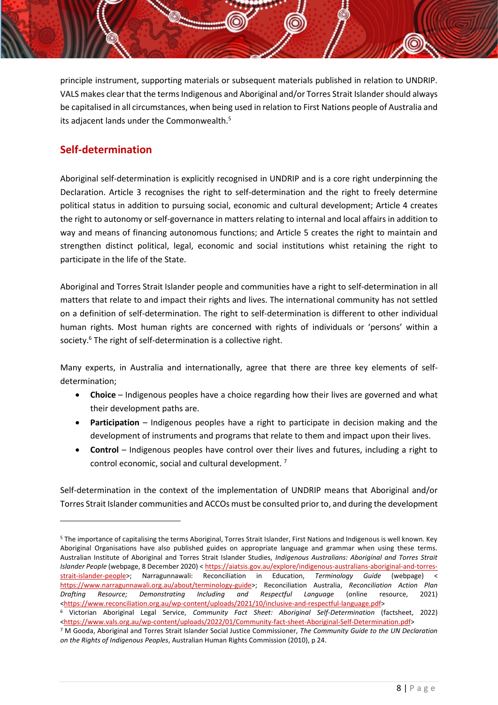principle instrument, supporting materials or subsequent materials published in relation to UNDRIP. VALS makes clear that the terms Indigenous and Aboriginal and/or Torres Strait Islander should always be capitalised in all circumstances, when being used in relation to First Nations people of Australia and its adjacent lands under the Commonwealth.<sup>5</sup>

# <span id="page-8-0"></span>**Self-determination**

Aboriginal self-determination is explicitly recognised in UNDRIP and is a core right underpinning the Declaration. Article 3 recognises the right to self-determination and the right to freely determine political status in addition to pursuing social, economic and cultural development; Article 4 creates the right to autonomy or self-governance in matters relating to internal and local affairs in addition to way and means of financing autonomous functions; and Article 5 creates the right to maintain and strengthen distinct political, legal, economic and social institutions whist retaining the right to participate in the life of the State.

Aboriginal and Torres Strait Islander people and communities have a right to self-determination in all matters that relate to and impact their rights and lives. The international community has not settled on a definition of self-determination. The right to self-determination is different to other individual human rights. Most human rights are concerned with rights of individuals or 'persons' within a society.<sup>6</sup> The right of self-determination is a collective right.

Many experts, in Australia and internationally, agree that there are three key elements of selfdetermination;

- **Choice** Indigenous peoples have a choice regarding how their lives are governed and what their development paths are.
- **Participation** Indigenous peoples have a right to participate in decision making and the development of instruments and programs that relate to them and impact upon their lives.
- **Control** Indigenous peoples have control over their lives and futures, including a right to control economic, social and cultural development. <sup>7</sup>

Self-determination in the context of the implementation of UNDRIP means that Aboriginal and/or Torres Strait Islander communities and ACCOs must be consulted prior to, and during the development

<sup>5</sup> The importance of capitalising the terms Aboriginal, Torres Strait Islander, First Nations and Indigenous is well known. Key Aboriginal Organisations have also published guides on appropriate language and grammar when using these terms. Australian Institute of Aboriginal and Torres Strait Islander Studies, *Indigenous Australians: Aboriginal and Torres Strait Islander People* (webpage, 8 December 2020) [< https://aiatsis.gov.au/explore/indigenous-australians-aboriginal-and-torres](https://aiatsis.gov.au/explore/indigenous-australians-aboriginal-and-torres-strait-islander-people)[strait-islander-people>](https://aiatsis.gov.au/explore/indigenous-australians-aboriginal-and-torres-strait-islander-people); Narragunnawali: Reconciliation in Education, *Terminology Guide* (webpage) < [https://www.narragunnawali.org.au/about/terminology-guide>](https://www.narragunnawali.org.au/about/terminology-guide); Reconciliation Australia, *Reconciliation Action Plan Drafting Resource; Demonstrating Including and Respectful Language* (online resource, 2021) [<https://www.reconciliation.org.au/wp-content/uploads/2021/10/inclusive-and-respectful-language.pdf>](https://www.reconciliation.org.au/wp-content/uploads/2021/10/inclusive-and-respectful-language.pdf)

<sup>6</sup> Victorian Aboriginal Legal Service, *Community Fact Sheet: Aboriginal Self-Determination* (factsheet, 2022) [<https://www.vals.org.au/wp-content/uploads/2022/01/Community-fact-sheet-Aboriginal-Self-Determination.pdf>](https://www.vals.org.au/wp-content/uploads/2022/01/Community-fact-sheet-Aboriginal-Self-Determination.pdf)

<sup>7</sup> M Gooda, Aboriginal and Torres Strait Islander Social Justice Commissioner, *The Community Guide to the UN Declaration on the Rights of Indigenous Peoples*, Australian Human Rights Commission (2010), p 24.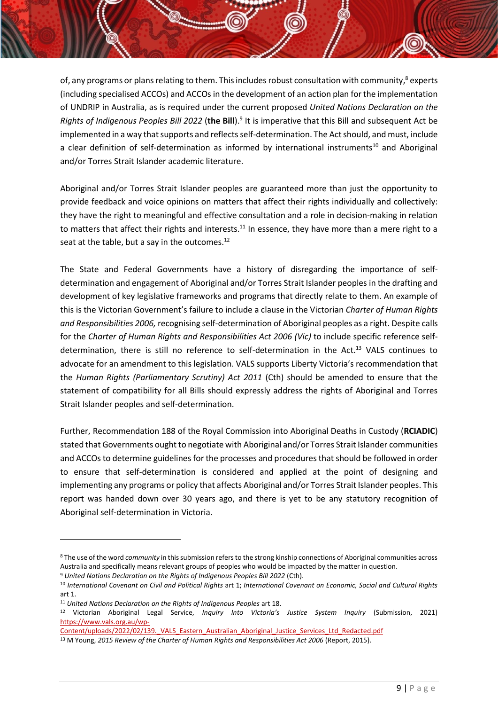of, any programs or plans relating to them. This includes robust consultation with community,<sup>8</sup> experts (including specialised ACCOs) and ACCOs in the development of an action plan for the implementation of UNDRIP in Australia, as is required under the current proposed *United Nations Declaration on the*  Rights of Indigenous Peoples Bill 2022 (the Bill).<sup>9</sup> It is imperative that this Bill and subsequent Act be implemented in a way that supports and reflects self-determination. The Act should, and must, include a clear definition of self-determination as informed by international instruments<sup>10</sup> and Aboriginal and/or Torres Strait Islander academic literature.

Aboriginal and/or Torres Strait Islander peoples are guaranteed more than just the opportunity to provide feedback and voice opinions on matters that affect their rights individually and collectively: they have the right to meaningful and effective consultation and a role in decision-making in relation to matters that affect their rights and interests.<sup>11</sup> In essence, they have more than a mere right to a seat at the table, but a say in the outcomes.<sup>12</sup>

The State and Federal Governments have a history of disregarding the importance of selfdetermination and engagement of Aboriginal and/or Torres Strait Islander peoples in the drafting and development of key legislative frameworks and programs that directly relate to them. An example of this is the Victorian Government's failure to include a clause in the Victorian *Charter of Human Rights and Responsibilities 2006,* recognising self-determination of Aboriginal peoples as a right. Despite calls for the *Charter of Human Rights and Responsibilities Act 2006 (Vic)* to include specific reference selfdetermination, there is still no reference to self-determination in the Act.<sup>13</sup> VALS continues to advocate for an amendment to this legislation. VALS supports Liberty Victoria's recommendation that the *Human Rights (Parliamentary Scrutiny) Act 2011* (Cth) should be amended to ensure that the statement of compatibility for all Bills should expressly address the rights of Aboriginal and Torres Strait Islander peoples and self-determination.

Further, Recommendation 188 of the Royal Commission into Aboriginal Deaths in Custody (**RCIADIC**) stated that Governments ought to negotiate with Aboriginal and/or Torres Strait Islander communities and ACCOs to determine guidelines for the processes and procedures that should be followed in order to ensure that self-determination is considered and applied at the point of designing and implementing any programs or policy that affects Aboriginal and/or Torres Strait Islander peoples. This report was handed down over 30 years ago, and there is yet to be any statutory recognition of Aboriginal self-determination in Victoria.

<sup>8</sup> The use of the word *community* in this submission refers to the strong kinship connections of Aboriginal communities across Australia and specifically means relevant groups of peoples who would be impacted by the matter in question.

<sup>9</sup> *United Nations Declaration on the Rights of Indigenous Peoples Bill 2022* (Cth).

<sup>10</sup> *International Covenant on Civil and Political Rights* art 1; *International Covenant on Economic, Social and Cultural Rights* art 1.

<sup>11</sup> *United Nations Declaration on the Rights of Indigenous Peoples* art 18.

<sup>12</sup> Victorian Aboriginal Legal Service, *Inquiry Into Victoria's Justice System Inquiry* (Submission, 2021) [https://www.vals.org.au/wp-](https://www.vals.org.au/wp-Content/uploads/2022/02/139._VALS_Eastern_Australian_Aboriginal_Justice_Services_Ltd_Redacted.pdf)

Content/uploads/2022/02/139. VALS Eastern Australian Aboriginal Justice Services Ltd Redacted.pdf

<sup>13</sup> M Young, *2015 Review of the Charter of Human Rights and Responsibilities Act 2006* (Report, 2015).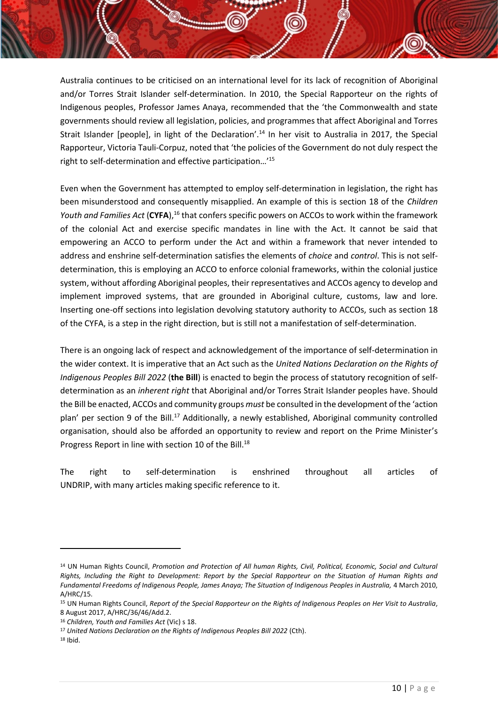Australia continues to be criticised on an international level for its lack of recognition of Aboriginal and/or Torres Strait Islander self-determination. In 2010, the Special Rapporteur on the rights of Indigenous peoples, Professor James Anaya, recommended that the 'the Commonwealth and state governments should review all legislation, policies, and programmes that affect Aboriginal and Torres Strait Islander [people], in light of the Declaration'.<sup>14</sup> In her visit to Australia in 2017, the Special Rapporteur, Victoria Tauli-Corpuz, noted that 'the policies of the Government do not duly respect the right to self-determination and effective participation…'<sup>15</sup>

Even when the Government has attempted to employ self-determination in legislation, the right has been misunderstood and consequently misapplied. An example of this is section 18 of the *Children*  Youth and Families Act (CYFA),<sup>16</sup> that confers specific powers on ACCOs to work within the framework of the colonial Act and exercise specific mandates in line with the Act. It cannot be said that empowering an ACCO to perform under the Act and within a framework that never intended to address and enshrine self-determination satisfies the elements of *choice* and *control*. This is not selfdetermination, this is employing an ACCO to enforce colonial frameworks, within the colonial justice system, without affording Aboriginal peoples, their representatives and ACCOs agency to develop and implement improved systems, that are grounded in Aboriginal culture, customs, law and lore. Inserting one-off sections into legislation devolving statutory authority to ACCOs, such as section 18 of the CYFA, is a step in the right direction, but is still not a manifestation of self-determination.

There is an ongoing lack of respect and acknowledgement of the importance of self-determination in the wider context. It is imperative that an Act such as the *United Nations Declaration on the Rights of Indigenous Peoples Bill 2022* (**the Bill**) is enacted to begin the process of statutory recognition of selfdetermination as an *inherent right* that Aboriginal and/or Torres Strait Islander peoples have. Should the Bill be enacted, ACCOs and community groups *must* be consulted in the development of the 'action plan' per section 9 of the Bill.<sup>17</sup> Additionally, a newly established, Aboriginal community controlled organisation, should also be afforded an opportunity to review and report on the Prime Minister's Progress Report in line with section 10 of the Bill.<sup>18</sup>

The right to self-determination is enshrined throughout all articles of UNDRIP, with many articles making specific reference to it.

<sup>14</sup> UN Human Rights Council, *Promotion and Protection of All human Rights, Civil, Political, Economic, Social and Cultural Rights, Including the Right to Development: Report by the Special Rapporteur on the Situation of Human Rights and*  Fundamental Freedoms of Indigenous People, James Anaya; The Situation of Indigenous Peoples in Australia, 4 March 2010, A/HRC/15.

<sup>15</sup> UN Human Rights Council, *Report of the Special Rapporteur on the Rights of Indigenous Peoples on Her Visit to Australia*, 8 August 2017, A/HRC/36/46/Add.2.

<sup>16</sup> *Children, Youth and Families Act* (Vic) s 18.

<sup>17</sup> *United Nations Declaration on the Rights of Indigenous Peoples Bill 2022* (Cth).

 $18$  Ihid.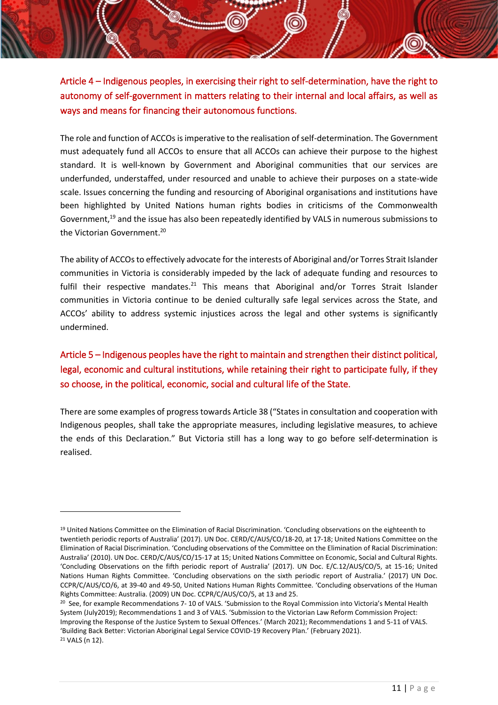Article 4 – Indigenous peoples, in exercising their right to self-determination, have the right to autonomy of self-government in matters relating to their internal and local affairs, as well as ways and means for financing their autonomous functions.

The role and function of ACCOs isimperative to the realisation of self-determination. The Government must adequately fund all ACCOs to ensure that all ACCOs can achieve their purpose to the highest standard. It is well-known by Government and Aboriginal communities that our services are underfunded, understaffed, under resourced and unable to achieve their purposes on a state-wide scale. Issues concerning the funding and resourcing of Aboriginal organisations and institutions have been highlighted by United Nations human rights bodies in criticisms of the Commonwealth Government,<sup>19</sup> and the issue has also been repeatedly identified by VALS in numerous submissions to the Victorian Government.<sup>20</sup>

The ability of ACCOs to effectively advocate for the interests of Aboriginal and/or Torres Strait Islander communities in Victoria is considerably impeded by the lack of adequate funding and resources to fulfil their respective mandates.<sup>21</sup> This means that Aboriginal and/or Torres Strait Islander communities in Victoria continue to be denied culturally safe legal services across the State, and ACCOs' ability to address systemic injustices across the legal and other systems is significantly undermined.

Article 5 – Indigenous peoples have the right to maintain and strengthen their distinct political, legal, economic and cultural institutions, while retaining their right to participate fully, if they so choose, in the political, economic, social and cultural life of the State.

There are some examples of progress towards Article 38 ("States in consultation and cooperation with Indigenous peoples, shall take the appropriate measures, including legislative measures, to achieve the ends of this Declaration." But Victoria still has a long way to go before self-determination is realised.

<sup>&</sup>lt;sup>19</sup> United Nations Committee on the Elimination of Racial Discrimination. 'Concluding observations on the eighteenth to twentieth periodic reports of Australia' (2017). UN Doc. CERD/C/AUS/CO/18-20, at 17-18; United Nations Committee on the Elimination of Racial Discrimination. 'Concluding observations of the Committee on the Elimination of Racial Discrimination: Australia' (2010). UN Doc. CERD/C/AUS/CO/15-17 at 15; United Nations Committee on Economic, Social and Cultural Rights. 'Concluding Observations on the fifth periodic report of Australia' (2017). UN Doc. E/C.12/AUS/CO/5, at 15-16; United Nations Human Rights Committee. 'Concluding observations on the sixth periodic report of Australia.' (2017) UN Doc. CCPR/C/AUS/CO/6, at 39-40 and 49-50, United Nations Human Rights Committee. 'Concluding observations of the Human Rights Committee: Australia. (2009) UN Doc. CCPR/C/AUS/CO/5, at 13 and 25.

<sup>&</sup>lt;sup>20</sup> See, for example Recommendations 7- 10 of VALS. 'Submission to the Royal Commission into Victoria's Mental Health System (July2019); Recommendations 1 and 3 of VALS. 'Submission to the Victorian Law Reform Commission Project: Improving the Response of the Justice System to Sexual Offences.' (March 2021); Recommendations 1 and 5-11 of VALS. 'Building Back Better: Victorian Aboriginal Legal Service COVID-19 Recovery Plan.' (February 2021). <sup>21</sup> VALS (n 12).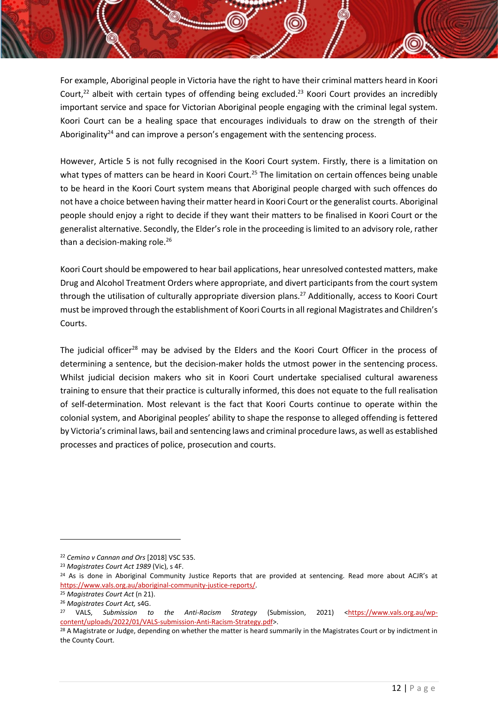For example, Aboriginal people in Victoria have the right to have their criminal matters heard in Koori Court,<sup>22</sup> albeit with certain types of offending being excluded.<sup>23</sup> Koori Court provides an incredibly important service and space for Victorian Aboriginal people engaging with the criminal legal system. Koori Court can be a healing space that encourages individuals to draw on the strength of their Aboriginality<sup>24</sup> and can improve a person's engagement with the sentencing process.

However, Article 5 is not fully recognised in the Koori Court system. Firstly, there is a limitation on what types of matters can be heard in Koori Court.<sup>25</sup> The limitation on certain offences being unable to be heard in the Koori Court system means that Aboriginal people charged with such offences do not have a choice between having their matter heard in Koori Court or the generalist courts. Aboriginal people should enjoy a right to decide if they want their matters to be finalised in Koori Court or the generalist alternative. Secondly, the Elder's role in the proceeding is limited to an advisory role, rather than a decision-making role. 26

Koori Court should be empowered to hear bail applications, hear unresolved contested matters, make Drug and Alcohol Treatment Orders where appropriate, and divert participants from the court system through the utilisation of culturally appropriate diversion plans.<sup>27</sup> Additionally, access to Koori Court must be improved through the establishment of Koori Courts in all regional Magistrates and Children's Courts.

The judicial officer<sup>28</sup> may be advised by the Elders and the Koori Court Officer in the process of determining a sentence, but the decision-maker holds the utmost power in the sentencing process. Whilst judicial decision makers who sit in Koori Court undertake specialised cultural awareness training to ensure that their practice is culturally informed, this does not equate to the full realisation of self-determination. Most relevant is the fact that Koori Courts continue to operate within the colonial system, and Aboriginal peoples' ability to shape the response to alleged offending is fettered by Victoria's criminal laws, bail and sentencing laws and criminal procedure laws, as well as established processes and practices of police, prosecution and courts.

<sup>22</sup> *Cemino v Cannan and Ors* [2018] VSC 535.

<sup>23</sup> *Magistrates Court Act 1989* (Vic), s 4F.

<sup>&</sup>lt;sup>24</sup> As is done in Aboriginal Community Justice Reports that are provided at sentencing. Read more about ACJR's at [https://www.vals.org.au/aboriginal-community-justice-reports/.](https://www.vals.org.au/aboriginal-community-justice-reports/) 

<sup>25</sup> *Magistrates Court Act* (n 21). <sup>26</sup> *Magistrates Court Act,* s4G.

<sup>&</sup>lt;sup>27</sup> VALS, *Submission to the Anti-Racism Strategy* (Submission, 2021) [<https://www.vals.org.au/wp](https://www.vals.org.au/wp-content/uploads/2022/01/VALS-submission-Anti-Racism-Strategy.pdf)[content/uploads/2022/01/VALS-submission-Anti-Racism-Strategy.pdf>](https://www.vals.org.au/wp-content/uploads/2022/01/VALS-submission-Anti-Racism-Strategy.pdf).

<sup>&</sup>lt;sup>28</sup> A Magistrate or Judge, depending on whether the matter is heard summarily in the Magistrates Court or by indictment in the County Court.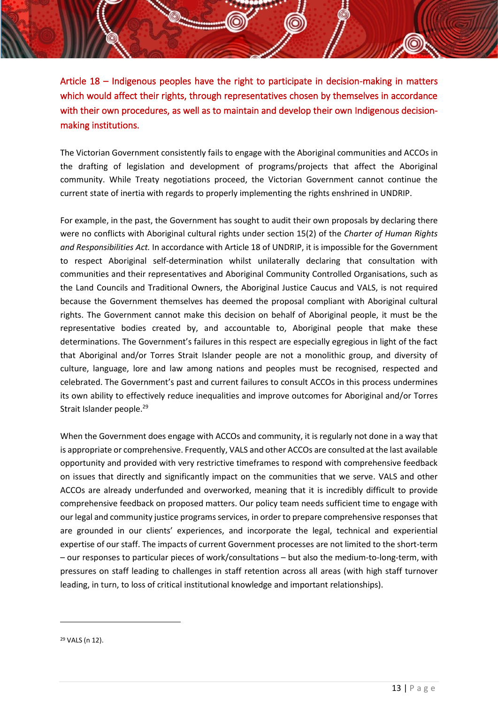Article 18 – Indigenous peoples have the right to participate in decision-making in matters which would affect their rights, through representatives chosen by themselves in accordance with their own procedures, as well as to maintain and develop their own Indigenous decisionmaking institutions.

The Victorian Government consistently fails to engage with the Aboriginal communities and ACCOs in the drafting of legislation and development of programs/projects that affect the Aboriginal community. While Treaty negotiations proceed, the Victorian Government cannot continue the current state of inertia with regards to properly implementing the rights enshrined in UNDRIP.

For example, in the past, the Government has sought to audit their own proposals by declaring there were no conflicts with Aboriginal cultural rights under section 15(2) of the *Charter of Human Rights and Responsibilities Act.* In accordance with Article 18 of UNDRIP, it is impossible for the Government to respect Aboriginal self-determination whilst unilaterally declaring that consultation with communities and their representatives and Aboriginal Community Controlled Organisations, such as the Land Councils and Traditional Owners, the Aboriginal Justice Caucus and VALS, is not required because the Government themselves has deemed the proposal compliant with Aboriginal cultural rights. The Government cannot make this decision on behalf of Aboriginal people, it must be the representative bodies created by, and accountable to, Aboriginal people that make these determinations. The Government's failures in this respect are especially egregious in light of the fact that Aboriginal and/or Torres Strait Islander people are not a monolithic group, and diversity of culture, language, lore and law among nations and peoples must be recognised, respected and celebrated. The Government's past and current failures to consult ACCOs in this process undermines its own ability to effectively reduce inequalities and improve outcomes for Aboriginal and/or Torres Strait Islander people.<sup>29</sup>

When the Government does engage with ACCOs and community, it is regularly not done in a way that is appropriate or comprehensive. Frequently, VALS and other ACCOs are consulted at the last available opportunity and provided with very restrictive timeframes to respond with comprehensive feedback on issues that directly and significantly impact on the communities that we serve. VALS and other ACCOs are already underfunded and overworked, meaning that it is incredibly difficult to provide comprehensive feedback on proposed matters. Our policy team needs sufficient time to engage with our legal and community justice programs services, in order to prepare comprehensive responses that are grounded in our clients' experiences, and incorporate the legal, technical and experiential expertise of our staff. The impacts of current Government processes are not limited to the short-term – our responses to particular pieces of work/consultations – but also the medium-to-long-term, with pressures on staff leading to challenges in staff retention across all areas (with high staff turnover leading, in turn, to loss of critical institutional knowledge and important relationships).

<sup>29</sup> VALS (n 12).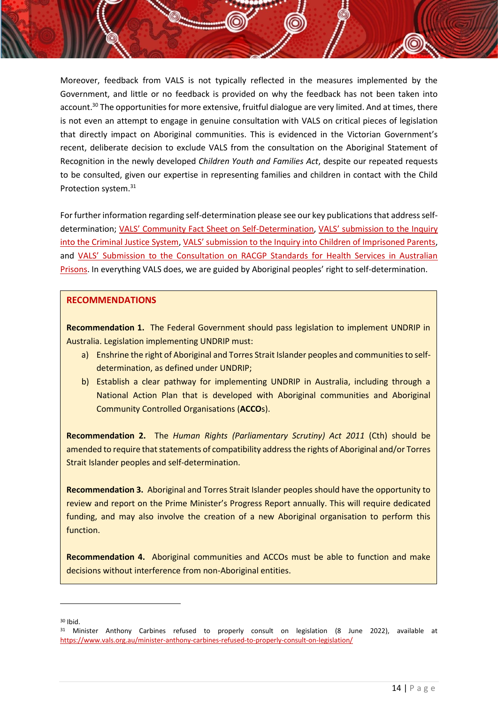Moreover, feedback from VALS is not typically reflected in the measures implemented by the Government, and little or no feedback is provided on why the feedback has not been taken into account.<sup>30</sup> The opportunities for more extensive, fruitful dialogue are very limited. And at times, there is not even an attempt to engage in genuine consultation with VALS on critical pieces of legislation that directly impact on Aboriginal communities. This is evidenced in the Victorian Government's recent, deliberate decision to exclude VALS from the consultation on the Aboriginal Statement of Recognition in the newly developed *Children Youth and Families Act*, despite our repeated requests to be consulted, given our expertise in representing families and children in contact with the Child Protection system.<sup>31</sup>

For further information regarding self-determination please see our key publications that address selfdetermination; [VALS' Community Fact Sheet on Self](https://www.vals.org.au/wp-content/uploads/2022/01/Community-fact-sheet-Aboriginal-Self-Determination.pdf)-Determination, [VALS' submission to the Inqui](https://www.vals.org.au/wp-content/uploads/2022/02/139._VALS_Eastern_Australian_Aboriginal_Justice_Services_Ltd_Redacted.pdf)ry [into the Criminal Justice System,](https://www.vals.org.au/wp-content/uploads/2022/02/139._VALS_Eastern_Australian_Aboriginal_Justice_Services_Ltd_Redacted.pdf) [VALS' submission to the Inquiry into Children of Imprisoned Parents](https://www.vals.org.au/wp-content/uploads/2022/05/VALS-Submission-to-Inquiry-into-Children-of-Imprisoned-Parents-FINAL-version.pdf), and VALS' [Submission to the Consultation on RACGP Standards for Health Services in Australian](https://www.vals.org.au/wp-content/uploads/2022/05/VALS-Submission-on-RACGP-Draft-Standards.pdf)  [Prisons.](https://www.vals.org.au/wp-content/uploads/2022/05/VALS-Submission-on-RACGP-Draft-Standards.pdf) In everything VALS does, we are guided by Aboriginal peoples' right to self-determination.

## **RECOMMENDATIONS**

**Recommendation 1.** The Federal Government should pass legislation to implement UNDRIP in Australia. Legislation implementing UNDRIP must:

- a) Enshrine the right of Aboriginal and Torres Strait Islander peoples and communities to selfdetermination, as defined under UNDRIP;
- b) Establish a clear pathway for implementing UNDRIP in Australia, including through a National Action Plan that is developed with Aboriginal communities and Aboriginal Community Controlled Organisations (**ACCO**s).

**Recommendation 2.** The *Human Rights (Parliamentary Scrutiny) Act 2011* (Cth) should be amended to require that statements of compatibility address the rights of Aboriginal and/or Torres Strait Islander peoples and self-determination.

**Recommendation 3.** Aboriginal and Torres Strait Islander peoples should have the opportunity to review and report on the Prime Minister's Progress Report annually. This will require dedicated funding, and may also involve the creation of a new Aboriginal organisation to perform this function.

**Recommendation 4.** Aboriginal communities and ACCOs must be able to function and make decisions without interference from non-Aboriginal entities.

<sup>30</sup> Ibid.

<sup>&</sup>lt;sup>31</sup> Minister Anthony Carbines refused to properly consult on legislation (8 June 2022), available at <https://www.vals.org.au/minister-anthony-carbines-refused-to-properly-consult-on-legislation/>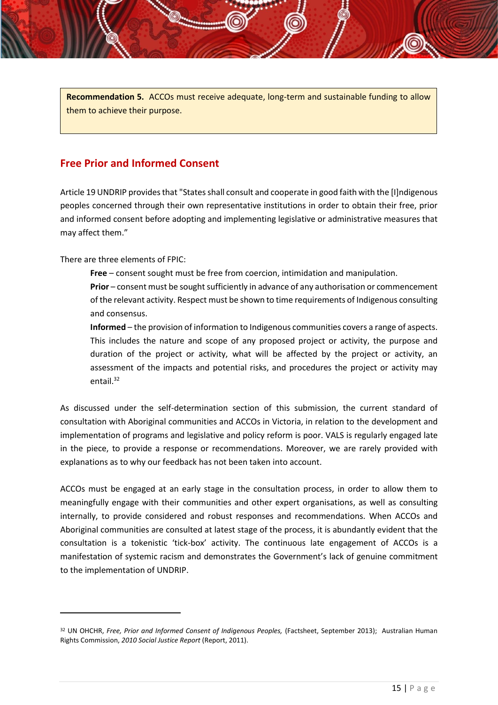**Recommendation 5.** ACCOs must receive adequate, long-term and sustainable funding to allow them to achieve their purpose.

# <span id="page-15-0"></span>**Free Prior and Informed Consent**

Article 19 UNDRIP provides that "States shall consult and cooperate in good faith with the [I]ndigenous peoples concerned through their own representative institutions in order to obtain their free, prior and informed consent before adopting and implementing legislative or administrative measures that may affect them."

There are three elements of FPIC:

**Free** – consent sought must be free from coercion, intimidation and manipulation.

**Prior** – consent must be sought sufficiently in advance of any authorisation or commencement of the relevant activity. Respect must be shown to time requirements of Indigenous consulting and consensus.

**Informed** – the provision of information to Indigenous communities covers a range of aspects. This includes the nature and scope of any proposed project or activity, the purpose and duration of the project or activity, what will be affected by the project or activity, an assessment of the impacts and potential risks, and procedures the project or activity may entail. $32$ 

As discussed under the self-determination section of this submission, the current standard of consultation with Aboriginal communities and ACCOs in Victoria, in relation to the development and implementation of programs and legislative and policy reform is poor. VALS is regularly engaged late in the piece, to provide a response or recommendations. Moreover, we are rarely provided with explanations as to why our feedback has not been taken into account.

ACCOs must be engaged at an early stage in the consultation process, in order to allow them to meaningfully engage with their communities and other expert organisations, as well as consulting internally, to provide considered and robust responses and recommendations. When ACCOs and Aboriginal communities are consulted at latest stage of the process, it is abundantly evident that the consultation is a tokenistic 'tick-box' activity. The continuous late engagement of ACCOs is a manifestation of systemic racism and demonstrates the Government's lack of genuine commitment to the implementation of UNDRIP.

<sup>32</sup> UN OHCHR, *Free, Prior and Informed Consent of Indigenous Peoples,* (Factsheet, September 2013); Australian Human Rights Commission, *2010 Social Justice Report* (Report, 2011).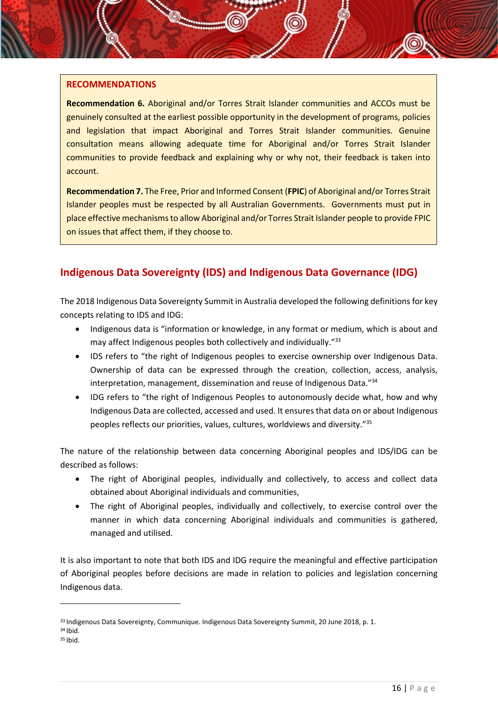## **RECOMMENDATIONS**

**Recommendation 6.** Aboriginal and/or Torres Strait Islander communities and ACCOs must be genuinely consulted at the earliest possible opportunity in the development of programs, policies and legislation that impact Aboriginal and Torres Strait Islander communities. Genuine consultation means allowing adequate time for Aboriginal and/or Torres Strait Islander communities to provide feedback and explaining why or why not, their feedback is taken into account.

**Recommendation 7.** The Free, Prior and Informed Consent (**FPIC**) of Aboriginal and/or Torres Strait Islander peoples must be respected by all Australian Governments.Governments must put in place effective mechanismsto allow Aboriginal and/or Torres Strait Islander people to provide FPIC on issues that affect them, if they choose to.

# <span id="page-16-0"></span>**Indigenous Data Sovereignty (IDS) and Indigenous Data Governance (IDG)**

The 2018 Indigenous Data Sovereignty Summit in Australia developed the following definitions for key concepts relating to IDS and IDG:

- Indigenous data is "information or knowledge, in any format or medium, which is about and may affect Indigenous peoples both collectively and individually."33
- IDS refers to "the right of Indigenous peoples to exercise ownership over Indigenous Data. Ownership of data can be expressed through the creation, collection, access, analysis, interpretation, management, dissemination and reuse of Indigenous Data."<sup>34</sup>
- IDG refers to "the right of Indigenous Peoples to autonomously decide what, how and why Indigenous Data are collected, accessed and used. It ensures that data on or about Indigenous peoples reflects our priorities, values, cultures, worldviews and diversity."<sup>35</sup>

The nature of the relationship between data concerning Aboriginal peoples and IDS/IDG can be described as follows:

- The right of Aboriginal peoples, individually and collectively, to access and collect data obtained about Aboriginal individuals and communities,
- The right of Aboriginal peoples, individually and collectively, to exercise control over the manner in which data concerning Aboriginal individuals and communities is gathered, managed and utilised.

It is also important to note that both IDS and IDG require the meaningful and effective participation of Aboriginal peoples before decisions are made in relation to policies and legislation concerning Indigenous data.

<sup>33</sup> Indigenous Data Sovereignty, Communique. Indigenous Data Sovereignty Summit, 20 June 2018, p. 1. <sup>34</sup> Ibid.

 $35$  Ibid.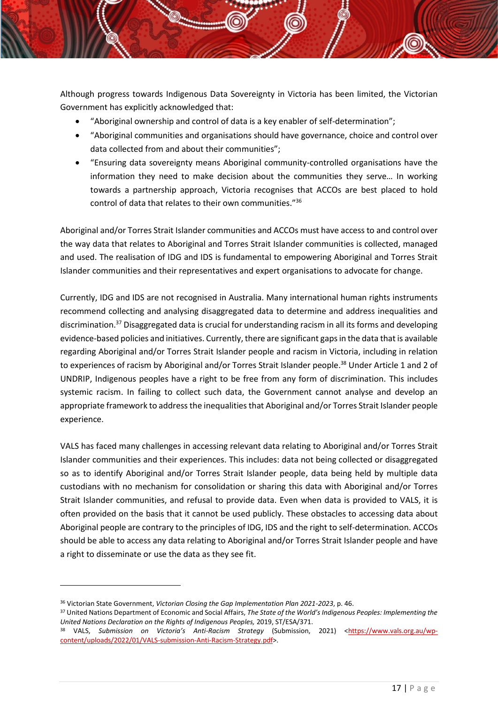Although progress towards Indigenous Data Sovereignty in Victoria has been limited, the Victorian Government has explicitly acknowledged that:

- "Aboriginal ownership and control of data is a key enabler of self-determination";
- "Aboriginal communities and organisations should have governance, choice and control over data collected from and about their communities";
- "Ensuring data sovereignty means Aboriginal community-controlled organisations have the information they need to make decision about the communities they serve… In working towards a partnership approach, Victoria recognises that ACCOs are best placed to hold control of data that relates to their own communities."<sup>36</sup>

Aboriginal and/or Torres Strait Islander communities and ACCOs must have access to and control over the way data that relates to Aboriginal and Torres Strait Islander communities is collected, managed and used. The realisation of IDG and IDS is fundamental to empowering Aboriginal and Torres Strait Islander communities and their representatives and expert organisations to advocate for change.

Currently, IDG and IDS are not recognised in Australia. Many international human rights instruments recommend collecting and analysing disaggregated data to determine and address inequalities and discrimination.<sup>37</sup> Disaggregated data is crucial for understanding racism in all its forms and developing evidence-based policies and initiatives. Currently, there are significant gaps in the data that is available regarding Aboriginal and/or Torres Strait Islander people and racism in Victoria, including in relation to experiences of racism by Aboriginal and/or Torres Strait Islander people.<sup>38</sup> Under Article 1 and 2 of UNDRIP, Indigenous peoples have a right to be free from any form of discrimination. This includes systemic racism. In failing to collect such data, the Government cannot analyse and develop an appropriate framework to address the inequalities that Aboriginal and/or Torres Strait Islander people experience.

VALS has faced many challenges in accessing relevant data relating to Aboriginal and/or Torres Strait Islander communities and their experiences. This includes: data not being collected or disaggregated so as to identify Aboriginal and/or Torres Strait Islander people, data being held by multiple data custodians with no mechanism for consolidation or sharing this data with Aboriginal and/or Torres Strait Islander communities, and refusal to provide data. Even when data is provided to VALS, it is often provided on the basis that it cannot be used publicly. These obstacles to accessing data about Aboriginal people are contrary to the principles of IDG, IDS and the right to self-determination. ACCOs should be able to access any data relating to Aboriginal and/or Torres Strait Islander people and have a right to disseminate or use the data as they see fit.

<sup>36</sup> Victorian State Government, *Victorian Closing the Gap Implementation Plan 2021-2023*, p. 46.

<sup>37</sup> United Nations Department of Economic and Social Affairs, *The State of the World's Indigenous Peoples: Implementing the United Nations Declaration on the Rights of Indigenous Peoples,* 2019, ST/ESA/371.

<sup>38</sup> VALS, Submission on Victoria's Anti-Racism Strategy (Submission, 2021) [<https://www.vals.org.au/wp](https://www.vals.org.au/wp-content/uploads/2022/01/VALS-submission-Anti-Racism-Strategy.pdf)[content/uploads/2022/01/VALS-submission-Anti-Racism-Strategy.pdf>](https://www.vals.org.au/wp-content/uploads/2022/01/VALS-submission-Anti-Racism-Strategy.pdf).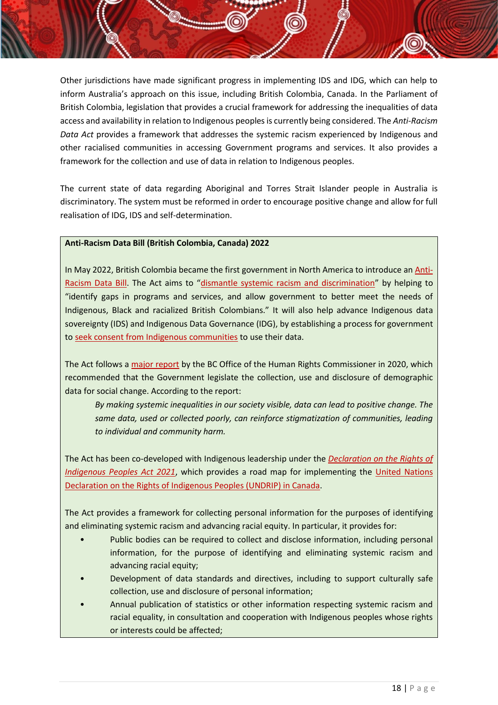Other jurisdictions have made significant progress in implementing IDS and IDG, which can help to inform Australia's approach on this issue, including British Colombia, Canada. In the Parliament of British Colombia, legislation that provides a crucial framework for addressing the inequalities of data access and availability in relation to Indigenous peoplesis currently being considered. The *Anti-Racism Data Act* provides a framework that addresses the systemic racism experienced by Indigenous and other racialised communities in accessing Government programs and services. It also provides a framework for the collection and use of data in relation to Indigenous peoples.

The current state of data regarding Aboriginal and Torres Strait Islander people in Australia is discriminatory. The system must be reformed in order to encourage positive change and allow for full realisation of IDG, IDS and self-determination.

## **Anti-Racism Data Bill (British Colombia, Canada) 2022**

In May 2022, British Colombia became the first government in North America to introduce an [Anti-](https://www.bclaws.gov.bc.ca/civix/document/id/bills/billscurrent/3rd42nd:gov24-3)[Racism Data Bill](https://www.bclaws.gov.bc.ca/civix/document/id/bills/billscurrent/3rd42nd:gov24-3). The Act aims to "[dismantle systemic racism and discrimination](https://news.gov.bc.ca/releases/2022PREM0027-000673)" by helping to "identify gaps in programs and services, and allow government to better meet the needs of Indigenous, Black and racialized British Colombians." It will also help advance Indigenous data sovereignty (IDS) and Indigenous Data Governance (IDG), by establishing a process for government t[o seek consent from Indigenous communities](https://news.gov.bc.ca/releases/2022PREM0027-000673) to use their data.

The Act follows a [major report](https://bchumanrights.ca/wp-content/uploads/BCOHRC_Sept2020_Disaggregated-Data-Report_FINAL.pdf) by the BC Office of the Human Rights Commissioner in 2020, which recommended that the Government legislate the collection, use and disclosure of demographic data for social change. According to the report:

*By making systemic inequalities in our society visible, data can lead to positive change. The same data, used or collected poorly, can reinforce stigmatization of communities, leading to individual and community harm.*

The Act has been co-developed with Indigenous leadership under the *[Declaration on the Rights of](https://laws-lois.justice.gc.ca/eng/acts/U-2.2/)  [Indigenous Peoples Act 2021](https://laws-lois.justice.gc.ca/eng/acts/U-2.2/)*, which provides a road map for implementing the [United Nations](https://www.un.org/development/desa/indigenouspeoples/wp-content/uploads/sites/19/2018/11/UNDRIP_E_web.pdf)  [Declaration on the Rights of Indigenous Peoples \(UNDRIP\) in Canada.](https://www.un.org/development/desa/indigenouspeoples/wp-content/uploads/sites/19/2018/11/UNDRIP_E_web.pdf)

The Act provides a framework for collecting personal information for the purposes of identifying and eliminating systemic racism and advancing racial equity. In particular, it provides for:

- Public bodies can be required to collect and disclose information, including personal information, for the purpose of identifying and eliminating systemic racism and advancing racial equity;
- Development of data standards and directives, including to support culturally safe collection, use and disclosure of personal information;
- Annual publication of statistics or other information respecting systemic racism and racial equality, in consultation and cooperation with Indigenous peoples whose rights or interests could be affected;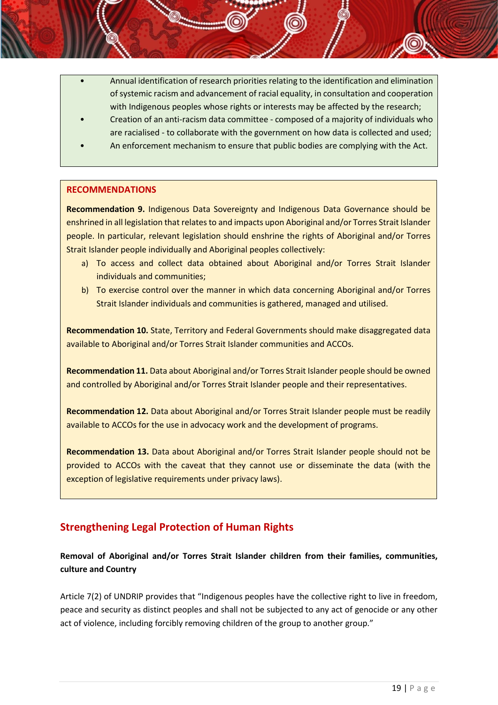- Annual identification of research priorities relating to the identification and elimination of systemic racism and advancement of racial equality, in consultation and cooperation with Indigenous peoples whose rights or interests may be affected by the research;
- Creation of an anti-racism data committee composed of a majority of individuals who are racialised - to collaborate with the government on how data is collected and used;
- An enforcement mechanism to ensure that public bodies are complying with the Act.

## **RECOMMENDATIONS**

**Recommendation 9.** Indigenous Data Sovereignty and Indigenous Data Governance should be enshrined in all legislation that relates to and impacts upon Aboriginal and/or Torres Strait Islander people. In particular, relevant legislation should enshrine the rights of Aboriginal and/or Torres Strait Islander people individually and Aboriginal peoples collectively:

- a) To access and collect data obtained about Aboriginal and/or Torres Strait Islander individuals and communities;
- b) To exercise control over the manner in which data concerning Aboriginal and/or Torres Strait Islander individuals and communities is gathered, managed and utilised.

**Recommendation 10.** State, Territory and Federal Governments should make disaggregated data available to Aboriginal and/or Torres Strait Islander communities and ACCOs.

**Recommendation 11.** Data about Aboriginal and/or Torres Strait Islander people should be owned and controlled by Aboriginal and/or Torres Strait Islander people and their representatives.

**Recommendation 12.** Data about Aboriginal and/or Torres Strait Islander people must be readily available to ACCOs for the use in advocacy work and the development of programs.

**Recommendation 13.** Data about Aboriginal and/or Torres Strait Islander people should not be provided to ACCOs with the caveat that they cannot use or disseminate the data (with the exception of legislative requirements under privacy laws).

# <span id="page-19-0"></span>**Strengthening Legal Protection of Human Rights**

**Removal of Aboriginal and/or Torres Strait Islander children from their families, communities, culture and Country**

Article 7(2) of UNDRIP provides that "Indigenous peoples have the collective right to live in freedom, peace and security as distinct peoples and shall not be subjected to any act of genocide or any other act of violence, including forcibly removing children of the group to another group."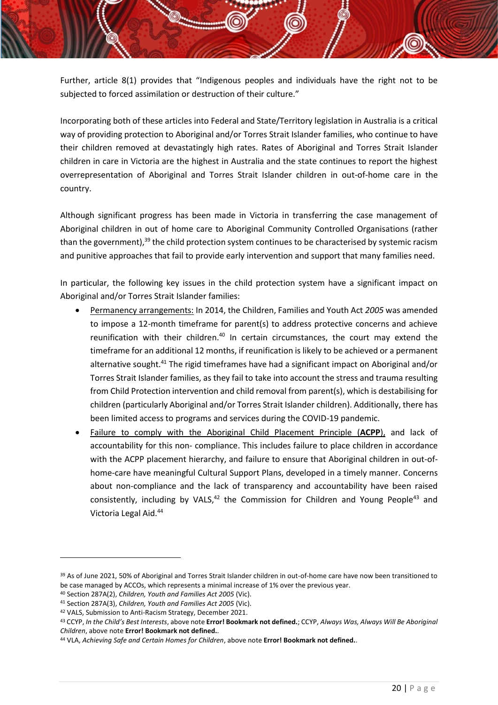Further, article 8(1) provides that "Indigenous peoples and individuals have the right not to be subjected to forced assimilation or destruction of their culture."

Incorporating both of these articles into Federal and State/Territory legislation in Australia is a critical way of providing protection to Aboriginal and/or Torres Strait Islander families, who continue to have their children removed at devastatingly high rates. Rates of Aboriginal and Torres Strait Islander children in care in Victoria are the highest in Australia and the state continues to report the highest overrepresentation of Aboriginal and Torres Strait Islander children in out-of-home care in the country.

Although significant progress has been made in Victoria in transferring the case management of Aboriginal children in out of home care to Aboriginal Community Controlled Organisations (rather than the government),<sup>39</sup> the child protection system continues to be characterised by systemic racism and punitive approaches that fail to provide early intervention and support that many families need.

In particular, the following key issues in the child protection system have a significant impact on Aboriginal and/or Torres Strait Islander families:

- Permanency arrangements: In 2014, the Children, Families and Youth Act *2005* was amended to impose a 12-month timeframe for parent(s) to address protective concerns and achieve reunification with their children.<sup>40</sup> In certain circumstances, the court may extend the timeframe for an additional 12 months, if reunification is likely to be achieved or a permanent alternative sought.<sup>41</sup> The rigid timeframes have had a significant impact on Aboriginal and/or Torres Strait Islander families, as they fail to take into account the stress and trauma resulting from Child Protection intervention and child removal from parent(s), which is destabilising for children (particularly Aboriginal and/or Torres Strait Islander children). Additionally, there has been limited access to programs and services during the COVID-19 pandemic.
- Failure to comply with the Aboriginal Child Placement Principle (**ACPP**), and lack of accountability for this non- compliance. This includes failure to place children in accordance with the ACPP placement hierarchy, and failure to ensure that Aboriginal children in out-ofhome-care have meaningful Cultural Support Plans, developed in a timely manner. Concerns about non-compliance and the lack of transparency and accountability have been raised consistently, including by VALS, $42$  the Commission for Children and Young People<sup>43</sup> and Victoria Legal Aid. 44

<sup>&</sup>lt;sup>39</sup> As of June 2021, 50% of Aboriginal and Torres Strait Islander children in out-of-home care have now been transitioned to be case managed by ACCOs, which represents a minimal increase of 1% over the previous year.

<sup>40</sup> Section 287A(2), *Children, Youth and Families Act 2005* (Vic).

<sup>41</sup> Section 287A(3), *Children, Youth and Families Act 2005* (Vic).

<sup>42</sup> VALS, Submission to Anti-Racism Strategy, December 2021.

<sup>43</sup> CCYP, *In the Child's Best Interests*, above note **Error! Bookmark not defined.**; CCYP, *Always Was, Always Will Be Aboriginal Children*, above note **Error! Bookmark not defined.**.

<sup>44</sup> VLA, *Achieving Safe and Certain Homes for Children*, above note **Error! Bookmark not defined.**.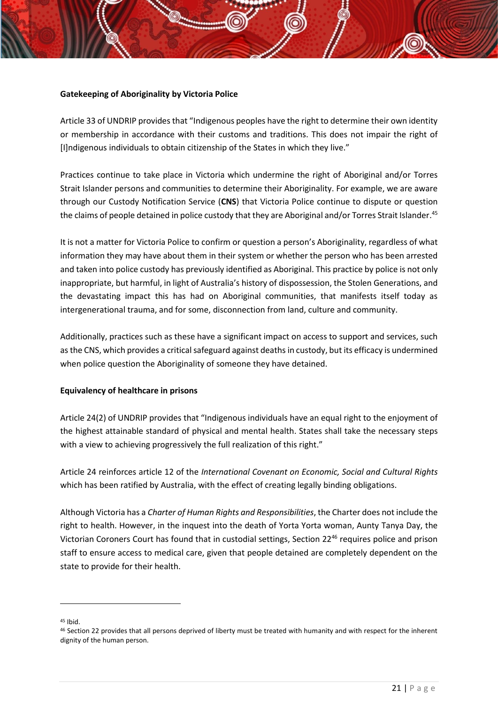## **Gatekeeping of Aboriginality by Victoria Police**

Article 33 of UNDRIP provides that "Indigenous peoples have the right to determine their own identity or membership in accordance with their customs and traditions. This does not impair the right of [I]ndigenous individuals to obtain citizenship of the States in which they live."

Practices continue to take place in Victoria which undermine the right of Aboriginal and/or Torres Strait Islander persons and communities to determine their Aboriginality. For example, we are aware through our Custody Notification Service (**CNS**) that Victoria Police continue to dispute or question the claims of people detained in police custody that they are Aboriginal and/or Torres Strait Islander.<sup>45</sup>

It is not a matter for Victoria Police to confirm or question a person's Aboriginality, regardless of what information they may have about them in their system or whether the person who has been arrested and taken into police custody has previously identified as Aboriginal. This practice by police is not only inappropriate, but harmful, in light of Australia's history of dispossession, the Stolen Generations, and the devastating impact this has had on Aboriginal communities, that manifests itself today as intergenerational trauma, and for some, disconnection from land, culture and community.

Additionally, practices such as these have a significant impact on access to support and services, such as the CNS, which provides a critical safeguard against deaths in custody, but its efficacy is undermined when police question the Aboriginality of someone they have detained.

## **Equivalency of healthcare in prisons**

Article 24(2) of UNDRIP provides that "Indigenous individuals have an equal right to the enjoyment of the highest attainable standard of physical and mental health. States shall take the necessary steps with a view to achieving progressively the full realization of this right."

Article 24 reinforces article 12 of the *International Covenant on Economic, Social and Cultural Rights* which has been ratified by Australia, with the effect of creating legally binding obligations.

Although Victoria has a *Charter of Human Rights and Responsibilities*, the Charter does not include the right to health. However, in the inquest into the death of Yorta Yorta woman, Aunty Tanya Day, the Victorian Coroners Court has found that in custodial settings, Section 22<sup>46</sup> requires police and prison staff to ensure access to medical care, given that people detained are completely dependent on the state to provide for their health.

<sup>45</sup> Ibid.

<sup>46</sup> Section 22 provides that all persons deprived of liberty must be treated with humanity and with respect for the inherent dignity of the human person.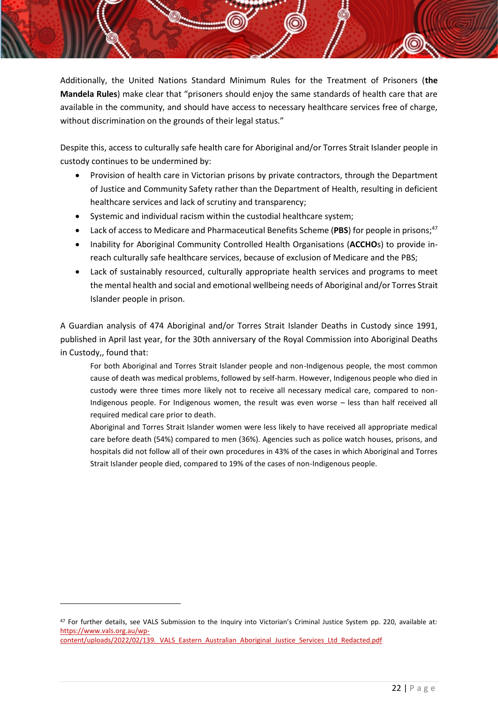Additionally, the United Nations Standard Minimum Rules for the Treatment of Prisoners (**the Mandela Rules**) make clear that "prisoners should enjoy the same standards of health care that are available in the community, and should have access to necessary healthcare services free of charge, without discrimination on the grounds of their legal status."

Despite this, access to culturally safe health care for Aboriginal and/or Torres Strait Islander people in custody continues to be undermined by:

- Provision of health care in Victorian prisons by private contractors, through the Department of Justice and Community Safety rather than the Department of Health, resulting in deficient healthcare services and lack of scrutiny and transparency;
- Systemic and individual racism within the custodial healthcare system;
- Lack of access to Medicare and Pharmaceutical Benefits Scheme (PBS) for people in prisons;<sup>47</sup>
- Inability for Aboriginal Community Controlled Health Organisations (**ACCHO**s) to provide inreach culturally safe healthcare services, because of exclusion of Medicare and the PBS;
- Lack of sustainably resourced, culturally appropriate health services and programs to meet the mental health and social and emotional wellbeing needs of Aboriginal and/or Torres Strait Islander people in prison.

A Guardian analysis of 474 Aboriginal and/or Torres Strait Islander Deaths in Custody since 1991, published in April last year, for the 30th anniversary of the Royal Commission into Aboriginal Deaths in Custody,, found that:

For both Aboriginal and Torres Strait Islander people and non-Indigenous people, the most common cause of death was medical problems, followed by self-harm. However, Indigenous people who died in custody were three times more likely not to receive all necessary medical care, compared to non-Indigenous people. For Indigenous women, the result was even worse – less than half received all required medical care prior to death.

Aboriginal and Torres Strait Islander women were less likely to have received all appropriate medical care before death (54%) compared to men (36%). Agencies such as police watch houses, prisons, and hospitals did not follow all of their own procedures in 43% of the cases in which Aboriginal and Torres Strait Islander people died, compared to 19% of the cases of non-Indigenous people.

<sup>47</sup> For further details, see VALS Submission to the Inquiry into Victorian's Criminal Justice System pp. 220, available at: [https://www.vals.org.au/wp-](https://www.vals.org.au/wp-content/uploads/2022/02/139._VALS_Eastern_Australian_Aboriginal_Justice_Services_Ltd_Redacted.pdf)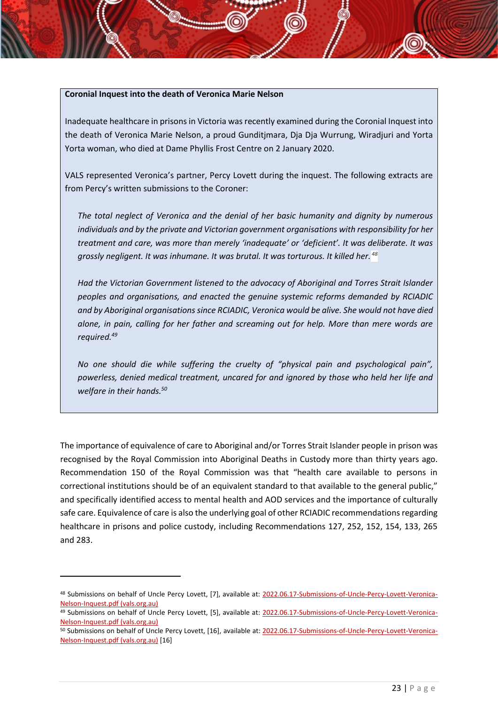#### **Coronial Inquest into the death of Veronica Marie Nelson**

Inadequate healthcare in prisons in Victoria was recently examined during the Coronial Inquest into the death of Veronica Marie Nelson, a proud Gunditjmara, Dja Dja Wurrung, Wiradjuri and Yorta Yorta woman, who died at Dame Phyllis Frost Centre on 2 January 2020.

VALS represented Veronica's partner, Percy Lovett during the inquest. The following extracts are from Percy's written submissions to the Coroner:

*The total neglect of Veronica and the denial of her basic humanity and dignity by numerous individuals and by the private and Victorian government organisations with responsibility for her treatment and care, was more than merely 'inadequate' or 'deficient'. It was deliberate. It was grossly negligent. It was inhumane. It was brutal. It was torturous. It killed her. <sup>48</sup>*

*Had the Victorian Government listened to the advocacy of Aboriginal and Torres Strait Islander peoples and organisations, and enacted the genuine systemic reforms demanded by RCIADIC and by Aboriginal organisations since RCIADIC, Veronica would be alive. She would not have died alone, in pain, calling for her father and screaming out for help. More than mere words are required.<sup>49</sup>*

*No one should die while suffering the cruelty of "physical pain and psychological pain", powerless, denied medical treatment, uncared for and ignored by those who held her life and welfare in their hands.<sup>50</sup>*

The importance of equivalence of care to Aboriginal and/or Torres Strait Islander people in prison was recognised by the Royal Commission into Aboriginal Deaths in Custody more than thirty years ago. Recommendation 150 of the Royal Commission was that "health care available to persons in correctional institutions should be of an equivalent standard to that available to the general public," and specifically identified access to mental health and AOD services and the importance of culturally safe care. Equivalence of care is also the underlying goal of other RCIADIC recommendations regarding healthcare in prisons and police custody, including Recommendations 127, 252, 152, 154, 133, 265 and 283.

<sup>48</sup> Submissions on behalf of Uncle Percy Lovett, [7], available at: [2022.06.17-Submissions-of-Uncle-Percy-Lovett-Veronica-](https://www.vals.org.au/wp-content/uploads/2022/06/2022.06.17-Submissions-of-Uncle-Percy-Lovett-Veronica-Nelson-Inquest.pdf)[Nelson-Inquest.pdf \(vals.org.au\)](https://www.vals.org.au/wp-content/uploads/2022/06/2022.06.17-Submissions-of-Uncle-Percy-Lovett-Veronica-Nelson-Inquest.pdf)

<sup>49</sup> Submissions on behalf of Uncle Percy Lovett, [5], available at: [2022.06.17-Submissions-of-Uncle-Percy-Lovett-Veronica-](https://www.vals.org.au/wp-content/uploads/2022/06/2022.06.17-Submissions-of-Uncle-Percy-Lovett-Veronica-Nelson-Inquest.pdf)[Nelson-Inquest.pdf \(vals.org.au\)](https://www.vals.org.au/wp-content/uploads/2022/06/2022.06.17-Submissions-of-Uncle-Percy-Lovett-Veronica-Nelson-Inquest.pdf)

<sup>50</sup> Submissions on behalf of Uncle Percy Lovett, [16], available at: [2022.06.17-Submissions-of-Uncle-Percy-Lovett-Veronica-](https://www.vals.org.au/wp-content/uploads/2022/06/2022.06.17-Submissions-of-Uncle-Percy-Lovett-Veronica-Nelson-Inquest.pdf)[Nelson-Inquest.pdf \(vals.org.au\)](https://www.vals.org.au/wp-content/uploads/2022/06/2022.06.17-Submissions-of-Uncle-Percy-Lovett-Veronica-Nelson-Inquest.pdf) [16]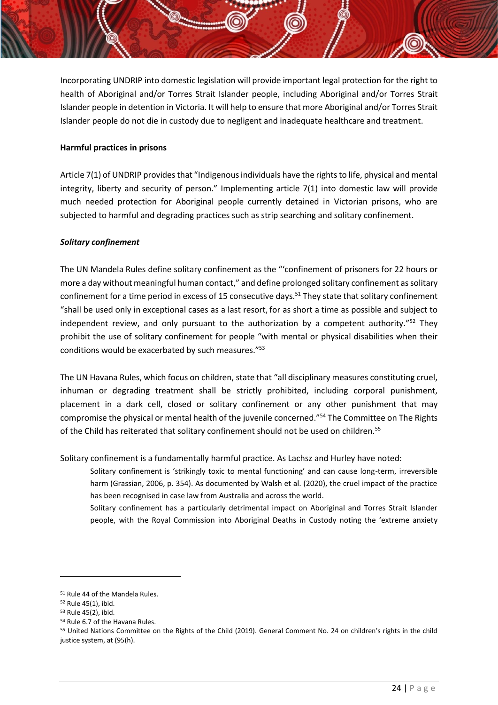Incorporating UNDRIP into domestic legislation will provide important legal protection for the right to health of Aboriginal and/or Torres Strait Islander people, including Aboriginal and/or Torres Strait Islander people in detention in Victoria. It will help to ensure that more Aboriginal and/or Torres Strait Islander people do not die in custody due to negligent and inadequate healthcare and treatment.

## **Harmful practices in prisons**

Article 7(1) of UNDRIP provides that "Indigenous individuals have the rights to life, physical and mental integrity, liberty and security of person." Implementing article 7(1) into domestic law will provide much needed protection for Aboriginal people currently detained in Victorian prisons, who are subjected to harmful and degrading practices such as strip searching and solitary confinement.

## *Solitary confinement*

The UN Mandela Rules define solitary confinement as the "'confinement of prisoners for 22 hours or more a day without meaningful human contact," and define prolonged solitary confinement as solitary confinement for a time period in excess of 15 consecutive days.<sup>51</sup> They state that solitary confinement "shall be used only in exceptional cases as a last resort, for as short a time as possible and subject to independent review, and only pursuant to the authorization by a competent authority."<sup>52</sup> They prohibit the use of solitary confinement for people "with mental or physical disabilities when their conditions would be exacerbated by such measures."<sup>53</sup>

The UN Havana Rules, which focus on children, state that "all disciplinary measures constituting cruel, inhuman or degrading treatment shall be strictly prohibited, including corporal punishment, placement in a dark cell, closed or solitary confinement or any other punishment that may compromise the physical or mental health of the juvenile concerned."<sup>54</sup> The Committee on The Rights of the Child has reiterated that solitary confinement should not be used on children.<sup>55</sup>

Solitary confinement is a fundamentally harmful practice. As Lachsz and Hurley have noted:

Solitary confinement is 'strikingly toxic to mental functioning' and can cause long-term, irreversible harm (Grassian, 2006, p. 354). As documented by Walsh et al. (2020), the cruel impact of the practice has been recognised in case law from Australia and across the world.

Solitary confinement has a particularly detrimental impact on Aboriginal and Torres Strait Islander people, with the Royal Commission into Aboriginal Deaths in Custody noting the 'extreme anxiety

<sup>51</sup> Rule 44 of the Mandela Rules.

<sup>52</sup> Rule 45(1), ibid.

<sup>53</sup> Rule 45(2), ibid.

<sup>54</sup> Rule 6.7 of the Havana Rules.

<sup>55</sup> United Nations Committee on the Rights of the Child (2019). General Comment No. 24 on children's rights in the child justice system, at (95(h).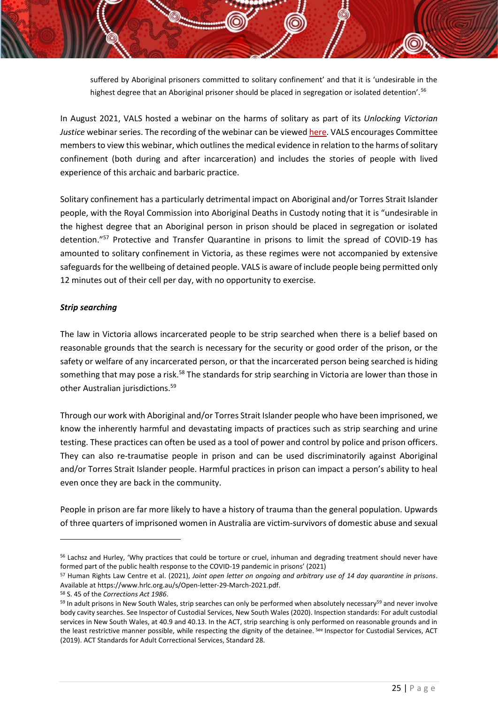suffered by Aboriginal prisoners committed to solitary confinement' and that it is 'undesirable in the highest degree that an Aboriginal prisoner should be placed in segregation or isolated detention'.<sup>56</sup>

In August 2021, VALS hosted a webinar on the harms of solitary as part of its *Unlocking Victorian Justice* webinar series. The recording of the webinar can be viewe[d here.](https://www.youtube.com/watch?v=_nF-eMm1ePI&t=10s) VALS encourages Committee members to view this webinar, which outlines the medical evidence in relation to the harms of solitary confinement (both during and after incarceration) and includes the stories of people with lived experience of this archaic and barbaric practice.

Solitary confinement has a particularly detrimental impact on Aboriginal and/or Torres Strait Islander people, with the Royal Commission into Aboriginal Deaths in Custody noting that it is "undesirable in the highest degree that an Aboriginal person in prison should be placed in segregation or isolated detention."<sup>57</sup> Protective and Transfer Quarantine in prisons to limit the spread of COVID-19 has amounted to solitary confinement in Victoria, as these regimes were not accompanied by extensive safeguards for the wellbeing of detained people. VALS is aware of include people being permitted only 12 minutes out of their cell per day, with no opportunity to exercise.

### *Strip searching*

The law in Victoria allows incarcerated people to be strip searched when there is a belief based on reasonable grounds that the search is necessary for the security or good order of the prison, or the safety or welfare of any incarcerated person, or that the incarcerated person being searched is hiding something that may pose a risk.<sup>58</sup> The standards for strip searching in Victoria are lower than those in other Australian jurisdictions.<sup>59</sup>

Through our work with Aboriginal and/or Torres Strait Islander people who have been imprisoned, we know the inherently harmful and devastating impacts of practices such as strip searching and urine testing. These practices can often be used as a tool of power and control by police and prison officers. They can also re-traumatise people in prison and can be used discriminatorily against Aboriginal and/or Torres Strait Islander people. Harmful practices in prison can impact a person's ability to heal even once they are back in the community.

People in prison are far more likely to have a history of trauma than the general population. Upwards of three quarters of imprisoned women in Australia are victim-survivors of domestic abuse and sexual

<sup>58</sup> S. 45 of the *Corrections Act 1986*.

<sup>&</sup>lt;sup>56</sup> Lachsz and Hurley, 'Why practices that could be torture or cruel, inhuman and degrading treatment should never have formed part of the public health response to the COVID-19 pandemic in prisons' (2021)

<sup>57</sup> Human Rights Law Centre et al. (2021), *Joint open letter on ongoing and arbitrary use of 14 day quarantine in prisons*. Available at https://www.hrlc.org.au/s/Open-letter-29-March-2021.pdf.

<sup>&</sup>lt;sup>59</sup> In adult prisons in New South Wales, strip searches can only be performed when absolutely necessary<sup>59</sup> and never involve body cavity searches. See Inspector of Custodial Services, New South Wales (2020). Inspection standards: For adult custodial services in New South Wales, at 40.9 and 40.13. In the ACT, strip searching is only performed on reasonable grounds and in the least restrictive manner possible, while respecting the dignity of the detainee. See Inspector for Custodial Services, ACT (2019). ACT Standards for Adult Correctional Services, Standard 28.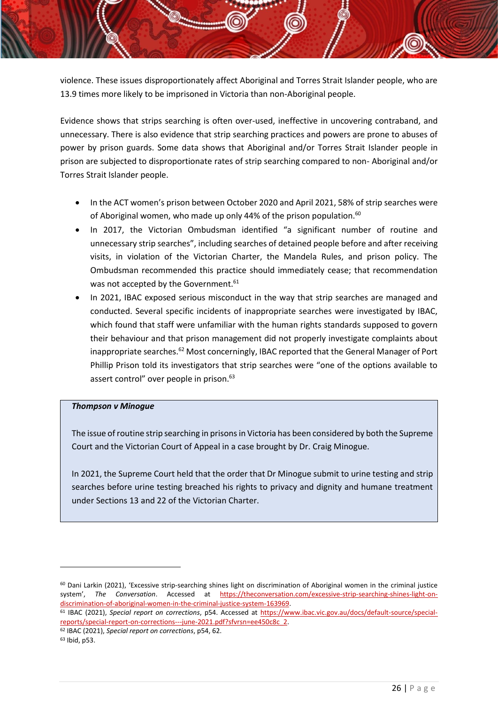violence. These issues disproportionately affect Aboriginal and Torres Strait Islander people, who are 13.9 times more likely to be imprisoned in Victoria than non-Aboriginal people.

Evidence shows that strips searching is often over-used, ineffective in uncovering contraband, and unnecessary. There is also evidence that strip searching practices and powers are prone to abuses of power by prison guards. Some data shows that Aboriginal and/or Torres Strait Islander people in prison are subjected to disproportionate rates of strip searching compared to non- Aboriginal and/or Torres Strait Islander people.

- In the ACT women's prison between October 2020 and April 2021, 58% of strip searches were of Aboriginal women, who made up only 44% of the prison population.<sup>60</sup>
- In 2017, the Victorian Ombudsman identified "a significant number of routine and unnecessary strip searches", including searches of detained people before and after receiving visits, in violation of the Victorian Charter, the Mandela Rules, and prison policy. The Ombudsman recommended this practice should immediately cease; that recommendation was not accepted by the Government.<sup>61</sup>
- In 2021, IBAC exposed serious misconduct in the way that strip searches are managed and conducted. Several specific incidents of inappropriate searches were investigated by IBAC, which found that staff were unfamiliar with the human rights standards supposed to govern their behaviour and that prison management did not properly investigate complaints about inappropriate searches.<sup>62</sup> Most concerningly, IBAC reported that the General Manager of Port Phillip Prison told its investigators that strip searches were "one of the options available to assert control" over people in prison.<sup>63</sup>

### *Thompson v Minogue*

The issue of routine strip searching in prisons in Victoria has been considered by both the Supreme Court and the Victorian Court of Appeal in a case brought by Dr. Craig Minogue.

In 2021, the Supreme Court held that the order that Dr Minogue submit to urine testing and strip searches before urine testing breached his rights to privacy and dignity and humane treatment under Sections 13 and 22 of the Victorian Charter.

 $60$  Dani Larkin (2021), 'Excessive strip-searching shines light on discrimination of Aboriginal women in the criminal justice system', *The Conversation*. Accessed at [https://theconversation.com/excessive-strip-searching-shines-light-on](https://theconversation.com/excessive-strip-searching-shines-light-on-discrimination-of-aboriginal-women-in-the-criminal-justice-system-163969)[discrimination-of-aboriginal-women-in-the-criminal-justice-system-163969.](https://theconversation.com/excessive-strip-searching-shines-light-on-discrimination-of-aboriginal-women-in-the-criminal-justice-system-163969)

<sup>61</sup> IBAC (2021), *Special report on corrections*, p54. Accessed at [https://www.ibac.vic.gov.au/docs/default-source/special](https://www.ibac.vic.gov.au/docs/default-source/special-reports/special-report-on-corrections---june-2021.pdf?sfvrsn=ee450c8c_2)[reports/special-report-on-corrections---june-2021.pdf?sfvrsn=ee450c8c\\_2.](https://www.ibac.vic.gov.au/docs/default-source/special-reports/special-report-on-corrections---june-2021.pdf?sfvrsn=ee450c8c_2) 

<sup>62</sup> IBAC (2021), *Special report on corrections*, p54, 62.

<sup>63</sup> Ibid, p53.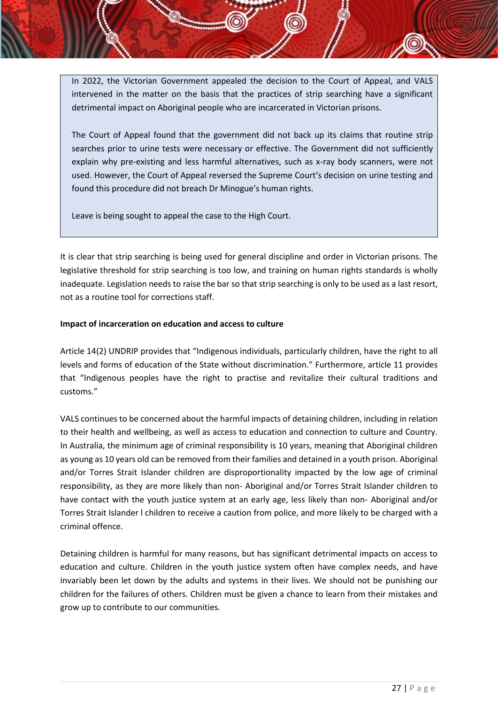In 2022, the Victorian Government appealed the decision to the Court of Appeal, and VALS intervened in the matter on the basis that the practices of strip searching have a significant detrimental impact on Aboriginal people who are incarcerated in Victorian prisons.

The Court of Appeal found that the government did not back up its claims that routine strip searches prior to urine tests were necessary or effective. The Government did not sufficiently explain why pre-existing and less harmful alternatives, such as x-ray body scanners, were not used. However, the Court of Appeal reversed the Supreme Court's decision on urine testing and found this procedure did not breach Dr Minogue's human rights.

Leave is being sought to appeal the case to the High Court.

It is clear that strip searching is being used for general discipline and order in Victorian prisons. The legislative threshold for strip searching is too low, and training on human rights standards is wholly inadequate. Legislation needs to raise the bar so that strip searching is only to be used as a last resort, not as a routine tool for corrections staff.

## **Impact of incarceration on education and access to culture**

Article 14(2) UNDRIP provides that "Indigenous individuals, particularly children, have the right to all levels and forms of education of the State without discrimination." Furthermore, article 11 provides that "Indigenous peoples have the right to practise and revitalize their cultural traditions and customs."

VALS continues to be concerned about the harmful impacts of detaining children, including in relation to their health and wellbeing, as well as access to education and connection to culture and Country. In Australia, the minimum age of criminal responsibility is 10 years, meaning that Aboriginal children as young as 10 years old can be removed from their families and detained in a youth prison. Aboriginal and/or Torres Strait Islander children are disproportionality impacted by the low age of criminal responsibility, as they are more likely than non- Aboriginal and/or Torres Strait Islander children to have contact with the youth justice system at an early age, less likely than non- Aboriginal and/or Torres Strait Islander l children to receive a caution from police, and more likely to be charged with a criminal offence.

Detaining children is harmful for many reasons, but has significant detrimental impacts on access to education and culture. Children in the youth justice system often have complex needs, and have invariably been let down by the adults and systems in their lives. We should not be punishing our children for the failures of others. Children must be given a chance to learn from their mistakes and grow up to contribute to our communities.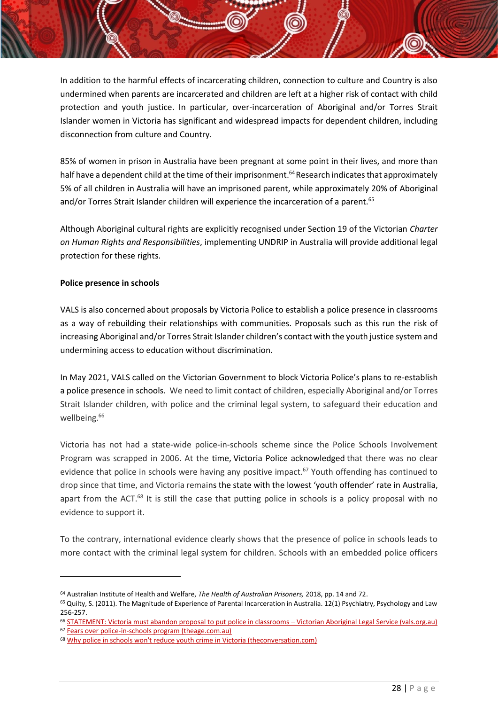In addition to the harmful effects of incarcerating children, connection to culture and Country is also undermined when parents are incarcerated and children are left at a higher risk of contact with child protection and youth justice. In particular, over-incarceration of Aboriginal and/or Torres Strait Islander women in Victoria has significant and widespread impacts for dependent children, including disconnection from culture and Country.

85% of women in prison in Australia have been pregnant at some point in their lives, and more than half have a dependent child at the time of their imprisonment.<sup>64</sup> Research indicates that approximately 5% of all children in Australia will have an imprisoned parent, while approximately 20% of Aboriginal and/or Torres Strait Islander children will experience the incarceration of a parent.<sup>65</sup>

Although Aboriginal cultural rights are explicitly recognised under Section 19 of the Victorian *Charter on Human Rights and Responsibilities*, implementing UNDRIP in Australia will provide additional legal protection for these rights.

## **Police presence in schools**

VALS is also concerned about proposals by Victoria Police to establish a police presence in classrooms as a way of rebuilding their relationships with communities. Proposals such as this run the risk of increasing Aboriginal and/or Torres Strait Islander children's contact with the youth justice system and undermining access to education without discrimination.

In May 2021, VALS called on the Victorian Government to block Victoria Police's plans to re-establish a police presence in schools. We need to limit contact of children, especially Aboriginal and/or Torres Strait Islander children, with police and the criminal legal system, to safeguard their education and wellbeing.<sup>66</sup>

Victoria has not had a state-wide police-in-schools scheme since the Police Schools Involvement Program was scrapped in 2006. At the time, Victoria Police acknowledged that there was no clear evidence that police in schools were having any positive impact.<sup>67</sup> Youth offending has continued to drop since that time, and Victoria remains the state with the lowest 'youth offender' rate in Australia, apart from the ACT.<sup>68</sup> It is still the case that putting police in schools is a policy proposal with no evidence to support it.

To the contrary, international evidence clearly shows that the presence of police in schools leads to more contact with the criminal legal system for children. Schools with an embedded police officers

<sup>64</sup> Australian Institute of Health and Welfare, *The Health of Australian Prisoners,* 2018, pp. 14 and 72.

<sup>&</sup>lt;sup>65</sup> Quilty, S. (2011). The Magnitude of Experience of Parental Incarceration in Australia. 12(1) Psychiatry, Psychology and Law 256-257.

<sup>66</sup> [STATEMENT: Victoria must abandon proposal to put police in classrooms](https://www.vals.org.au/statement-victoria-must-abandon-proposal-to-put-police-in-classrooms/) – Victorian Aboriginal Legal Service (vals.org.au)

<sup>67</sup> [Fears over police-in-schools program \(theage.com.au\)](https://www.theage.com.au/national/fears-over-police-in-schools-program-20050512-ge05g7.html)

<sup>&</sup>lt;sup>68</sup> [Why police in schools won't reduce youth crime in Victoria \(theconversation.com\)](https://theconversation.com/why-police-in-schools-wont-reduce-youth-crime-in-victoria-91563)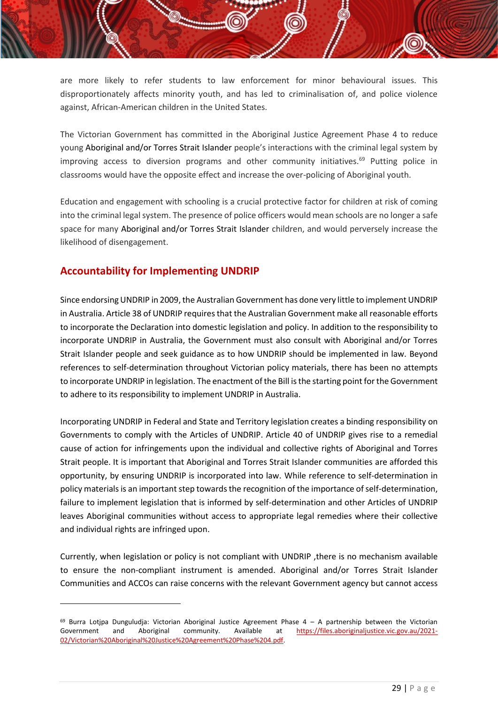are more likely to refer students to law enforcement for minor behavioural issues. This disproportionately affects minority youth, and has led to criminalisation of, and police violence against, African-American children in the United States.

The Victorian Government has committed in the Aboriginal Justice Agreement Phase 4 to reduce young Aboriginal and/or Torres Strait Islander people's interactions with the criminal legal system by improving access to diversion programs and other community initiatives.<sup>69</sup> Putting police in classrooms would have the opposite effect and increase the over-policing of Aboriginal youth.

Education and engagement with schooling is a crucial protective factor for children at risk of coming into the criminal legal system. The presence of police officers would mean schools are no longer a safe space for many Aboriginal and/or Torres Strait Islander children, and would perversely increase the likelihood of disengagement.

# <span id="page-29-0"></span>**Accountability for Implementing UNDRIP**

Since endorsing UNDRIP in 2009, the Australian Government has done very little to implement UNDRIP in Australia. Article 38 of UNDRIP requires that the Australian Government make all reasonable efforts to incorporate the Declaration into domestic legislation and policy. In addition to the responsibility to incorporate UNDRIP in Australia, the Government must also consult with Aboriginal and/or Torres Strait Islander people and seek guidance as to how UNDRIP should be implemented in law. Beyond references to self-determination throughout Victorian policy materials, there has been no attempts to incorporate UNDRIP in legislation. The enactment of the Bill is the starting point for the Government to adhere to its responsibility to implement UNDRIP in Australia.

Incorporating UNDRIP in Federal and State and Territory legislation creates a binding responsibility on Governments to comply with the Articles of UNDRIP. Article 40 of UNDRIP gives rise to a remedial cause of action for infringements upon the individual and collective rights of Aboriginal and Torres Strait people. It is important that Aboriginal and Torres Strait Islander communities are afforded this opportunity, by ensuring UNDRIP is incorporated into law. While reference to self-determination in policy materials is an important step towards the recognition of the importance of self-determination, failure to implement legislation that is informed by self-determination and other Articles of UNDRIP leaves Aboriginal communities without access to appropriate legal remedies where their collective and individual rights are infringed upon.

Currently, when legislation or policy is not compliant with UNDRIP ,there is no mechanism available to ensure the non-compliant instrument is amended. Aboriginal and/or Torres Strait Islander Communities and ACCOs can raise concerns with the relevant Government agency but cannot access

 $69$  Burra Lotjpa Dunguludja: Victorian Aboriginal Justice Agreement Phase  $4 - A$  partnership between the Victorian Government and Aboriginal community. Available at [https://files.aboriginaljustice.vic.gov.au/2021-](https://files.aboriginaljustice.vic.gov.au/2021-02/Victorian%20Aboriginal%20Justice%20Agreement%20Phase%204.pdf) [02/Victorian%20Aboriginal%20Justice%20Agreement%20Phase%204.pdf.](https://files.aboriginaljustice.vic.gov.au/2021-02/Victorian%20Aboriginal%20Justice%20Agreement%20Phase%204.pdf)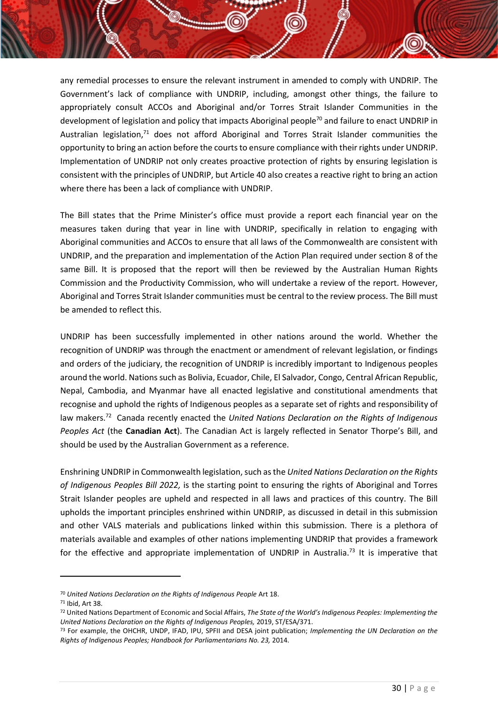any remedial processes to ensure the relevant instrument in amended to comply with UNDRIP. The Government's lack of compliance with UNDRIP, including, amongst other things, the failure to appropriately consult ACCOs and Aboriginal and/or Torres Strait Islander Communities in the development of legislation and policy that impacts Aboriginal people<sup>70</sup> and failure to enact UNDRIP in Australian legislation, $71$  does not afford Aboriginal and Torres Strait Islander communities the opportunity to bring an action before the courts to ensure compliance with their rights under UNDRIP. Implementation of UNDRIP not only creates proactive protection of rights by ensuring legislation is consistent with the principles of UNDRIP, but Article 40 also creates a reactive right to bring an action where there has been a lack of compliance with UNDRIP.

The Bill states that the Prime Minister's office must provide a report each financial year on the measures taken during that year in line with UNDRIP, specifically in relation to engaging with Aboriginal communities and ACCOs to ensure that all laws of the Commonwealth are consistent with UNDRIP, and the preparation and implementation of the Action Plan required under section 8 of the same Bill. It is proposed that the report will then be reviewed by the Australian Human Rights Commission and the Productivity Commission, who will undertake a review of the report. However, Aboriginal and Torres Strait Islander communities must be central to the review process. The Bill must be amended to reflect this.

UNDRIP has been successfully implemented in other nations around the world. Whether the recognition of UNDRIP was through the enactment or amendment of relevant legislation, or findings and orders of the judiciary, the recognition of UNDRIP is incredibly important to Indigenous peoples around the world. Nations such as Bolivia, Ecuador, Chile, El Salvador, Congo, Central African Republic, Nepal, Cambodia, and Myanmar have all enacted legislative and constitutional amendments that recognise and uphold the rights of Indigenous peoples as a separate set of rights and responsibility of law makers.<sup>72</sup> Canada recently enacted the *United Nations Declaration on the Rights of Indigenous Peoples Act* (the **Canadian Act**). The Canadian Act is largely reflected in Senator Thorpe's Bill, and should be used by the Australian Government as a reference.

Enshrining UNDRIP in Commonwealth legislation, such as the *United Nations Declaration on the Rights of Indigenous Peoples Bill 2022,* is the starting point to ensuring the rights of Aboriginal and Torres Strait Islander peoples are upheld and respected in all laws and practices of this country. The Bill upholds the important principles enshrined within UNDRIP, as discussed in detail in this submission and other VALS materials and publications linked within this submission. There is a plethora of materials available and examples of other nations implementing UNDRIP that provides a framework for the effective and appropriate implementation of UNDRIP in Australia.<sup>73</sup> It is imperative that

<sup>70</sup> *United Nations Declaration on the Rights of Indigenous People* Art 18.

<sup>71</sup> Ibid, Art 38.

<sup>72</sup> United Nations Department of Economic and Social Affairs, *The State of the World's Indigenous Peoples: Implementing the United Nations Declaration on the Rights of Indigenous Peoples,* 2019, ST/ESA/371.

<sup>73</sup> For example, the OHCHR, UNDP, IFAD, IPU, SPFII and DESA joint publication; *Implementing the UN Declaration on the Rights of Indigenous Peoples; Handbook for Parliamentarians No. 23,* 2014.